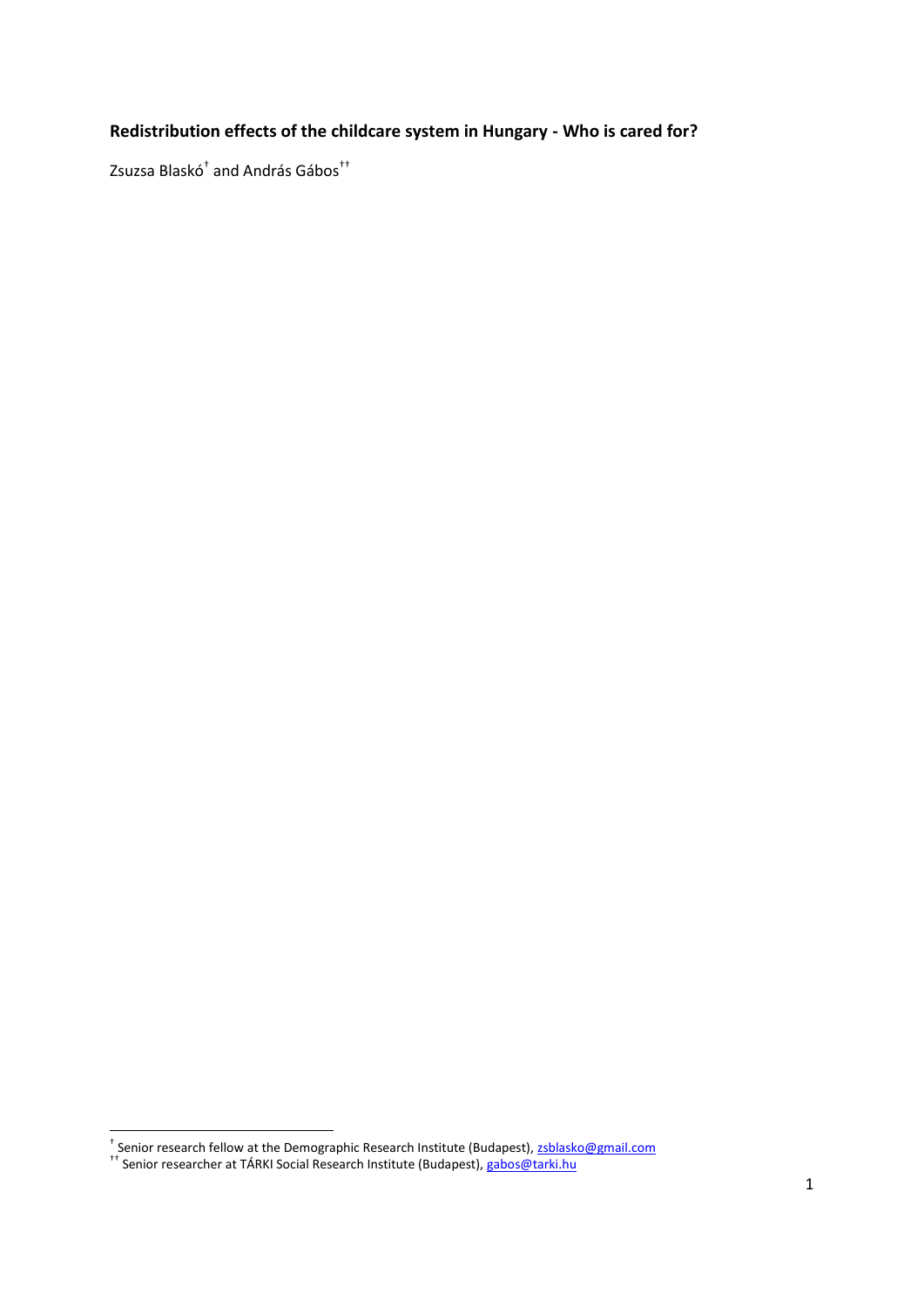## **Redistribution effects of the childcare system in Hungary - Who is cared for?**

Zsuzsa Blaskó† and András Gábos††

 † Senior research fellow at the Demographic Research Institute (Budapest)[, zsblasko@gmail.com](mailto:zsblasko@gmail.com)

<sup>&</sup>lt;sup>††</sup> Senior researcher at TÁRKI Social Research Institute (Budapest), <u>gabos@tarki.hu</u>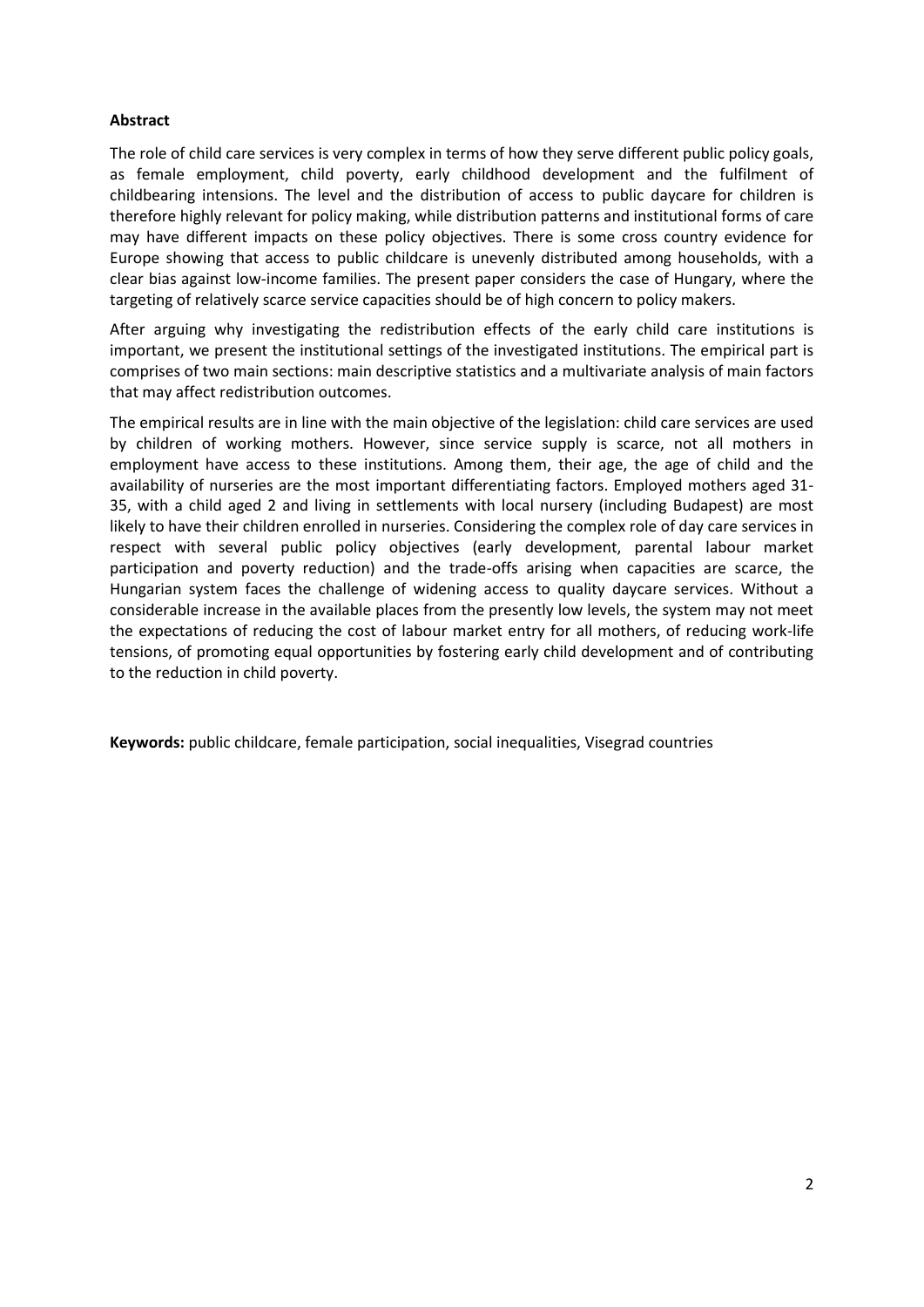#### **Abstract**

The role of child care services is very complex in terms of how they serve different public policy goals, as female employment, child poverty, early childhood development and the fulfilment of childbearing intensions. The level and the distribution of access to public daycare for children is therefore highly relevant for policy making, while distribution patterns and institutional forms of care may have different impacts on these policy objectives. There is some cross country evidence for Europe showing that access to public childcare is unevenly distributed among households, with a clear bias against low-income families. The present paper considers the case of Hungary, where the targeting of relatively scarce service capacities should be of high concern to policy makers.

After arguing why investigating the redistribution effects of the early child care institutions is important, we present the institutional settings of the investigated institutions. The empirical part is comprises of two main sections: main descriptive statistics and a multivariate analysis of main factors that may affect redistribution outcomes.

The empirical results are in line with the main objective of the legislation: child care services are used by children of working mothers. However, since service supply is scarce, not all mothers in employment have access to these institutions. Among them, their age, the age of child and the availability of nurseries are the most important differentiating factors. Employed mothers aged 31- 35, with a child aged 2 and living in settlements with local nursery (including Budapest) are most likely to have their children enrolled in nurseries. Considering the complex role of day care services in respect with several public policy objectives (early development, parental labour market participation and poverty reduction) and the trade-offs arising when capacities are scarce, the Hungarian system faces the challenge of widening access to quality daycare services. Without a considerable increase in the available places from the presently low levels, the system may not meet the expectations of reducing the cost of labour market entry for all mothers, of reducing work-life tensions, of promoting equal opportunities by fostering early child development and of contributing to the reduction in child poverty.

**Keywords:** public childcare, female participation, social inequalities, Visegrad countries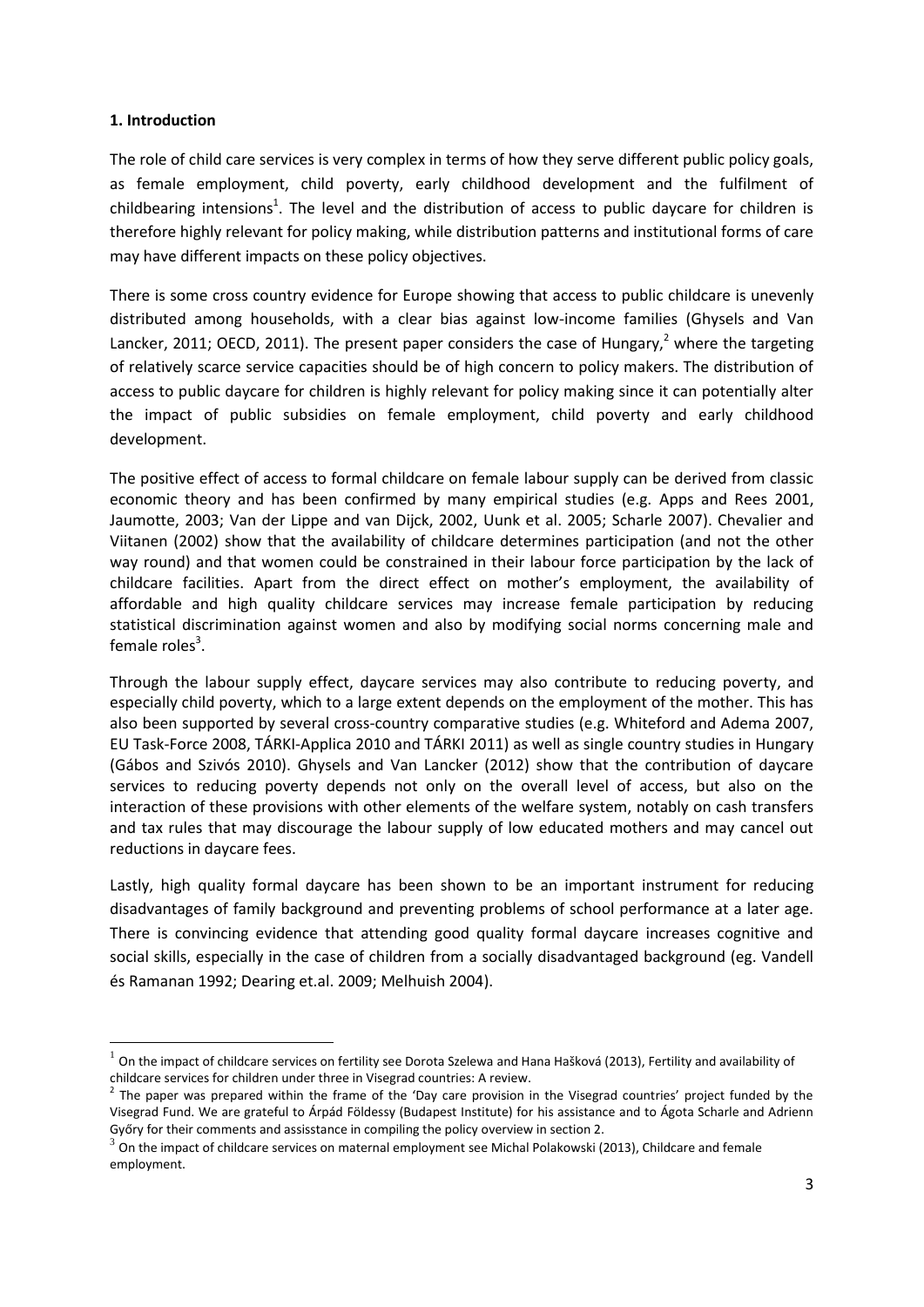#### **1. Introduction**

**.** 

The role of child care services is very complex in terms of how they serve different public policy goals, as female employment, child poverty, early childhood development and the fulfilment of childbearing intensions<sup>1</sup>. The level and the distribution of access to public daycare for children is therefore highly relevant for policy making, while distribution patterns and institutional forms of care may have different impacts on these policy objectives.

There is some cross country evidence for Europe showing that access to public childcare is unevenly distributed among households, with a clear bias against low-income families (Ghysels and Van Lancker, 2011; OECD, 2011). The present paper considers the case of Hungary,<sup>2</sup> where the targeting of relatively scarce service capacities should be of high concern to policy makers. The distribution of access to public daycare for children is highly relevant for policy making since it can potentially alter the impact of public subsidies on female employment, child poverty and early childhood development.

The positive effect of access to formal childcare on female labour supply can be derived from classic economic theory and has been confirmed by many empirical studies (e.g. Apps and Rees 2001, Jaumotte, 2003; Van der Lippe and van Dijck, 2002, Uunk et al. 2005; Scharle 2007). Chevalier and Viitanen (2002) show that the availability of childcare determines participation (and not the other way round) and that women could be constrained in their labour force participation by the lack of childcare facilities. Apart from the direct effect on mother's employment, the availability of affordable and high quality childcare services may increase female participation by reducing statistical discrimination against women and also by modifying social norms concerning male and female roles<sup>3</sup>.

Through the labour supply effect, daycare services may also contribute to reducing poverty, and especially child poverty, which to a large extent depends on the employment of the mother. This has also been supported by several cross-country comparative studies (e.g. Whiteford and Adema 2007, EU Task-Force 2008, TÁRKI-Applica 2010 and TÁRKI 2011) as well as single country studies in Hungary (Gábos and Szivós 2010). Ghysels and Van Lancker (2012) show that the contribution of daycare services to reducing poverty depends not only on the overall level of access, but also on the interaction of these provisions with other elements of the welfare system, notably on cash transfers and tax rules that may discourage the labour supply of low educated mothers and may cancel out reductions in daycare fees.

Lastly, high quality formal daycare has been shown to be an important instrument for reducing disadvantages of family background and preventing problems of school performance at a later age. There is convincing evidence that attending good quality formal daycare increases cognitive and social skills, especially in the case of children from a socially disadvantaged background (eg. Vandell és Ramanan 1992; Dearing et.al. 2009; Melhuish 2004).

 $^1$  On the impact of childcare services on fertility see Dorota Szelewa and Hana Hašková (2013), Fertility and availability of childcare services for children under three in Visegrad countries: A review.

 $2$  The paper was prepared within the frame of the 'Day care provision in the Visegrad countries' project funded by the Visegrad Fund. We are grateful to Árpád Földessy (Budapest Institute) for his assistance and to Ágota Scharle and Adrienn Győry for their comments and assisstance in compiling the policy overview in section 2.

 $3$  On the impact of childcare services on maternal employment see Michal Polakowski (2013), Childcare and female employment.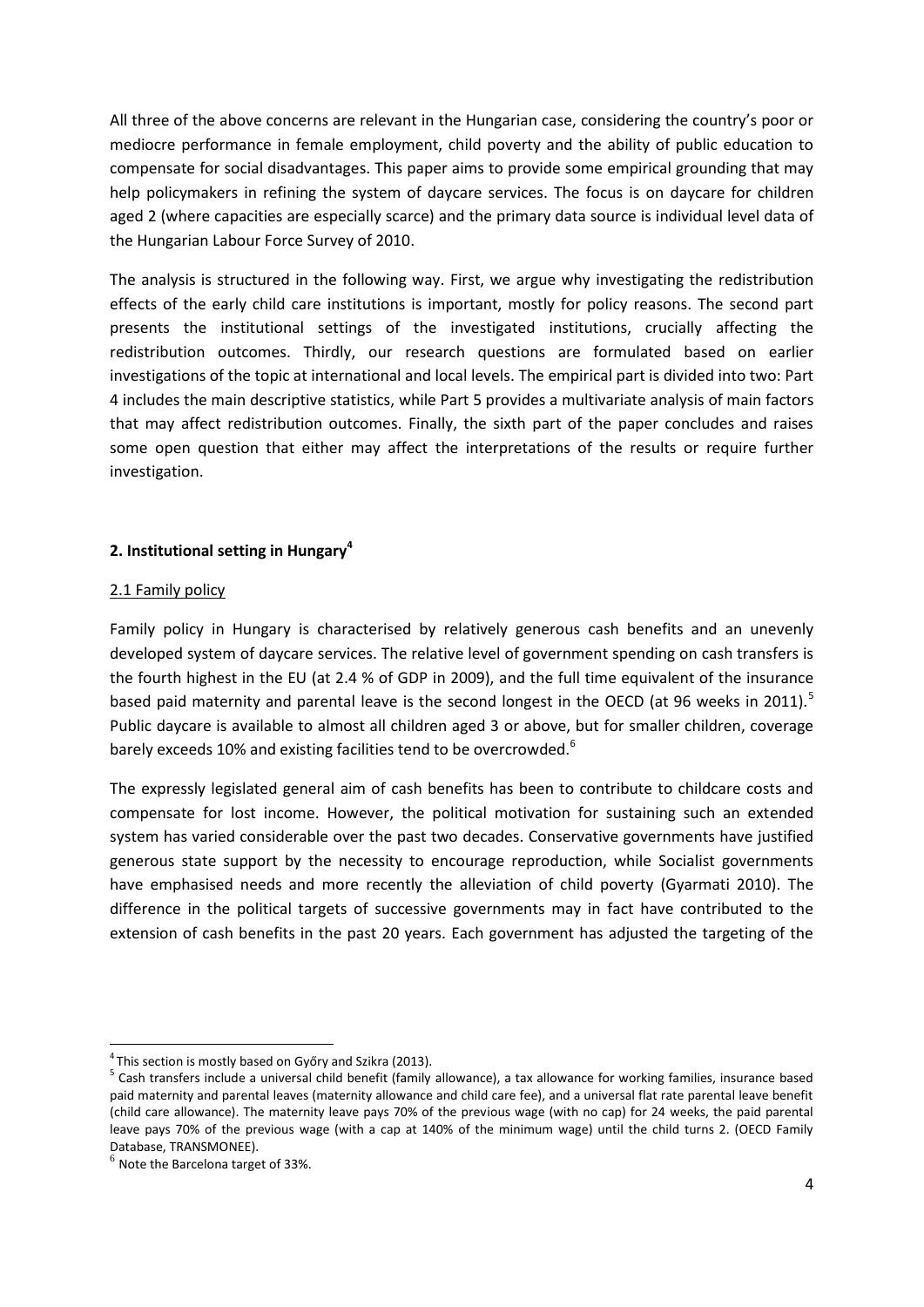All three of the above concerns are relevant in the Hungarian case, considering the country's poor or mediocre performance in female employment, child poverty and the ability of public education to compensate for social disadvantages. This paper aims to provide some empirical grounding that may help policymakers in refining the system of daycare services. The focus is on daycare for children aged 2 (where capacities are especially scarce) and the primary data source is individual level data of the Hungarian Labour Force Survey of 2010.

The analysis is structured in the following way. First, we argue why investigating the redistribution effects of the early child care institutions is important, mostly for policy reasons. The second part presents the institutional settings of the investigated institutions, crucially affecting the redistribution outcomes. Thirdly, our research questions are formulated based on earlier investigations of the topic at international and local levels. The empirical part is divided into two: Part 4 includes the main descriptive statistics, while Part 5 provides a multivariate analysis of main factors that may affect redistribution outcomes. Finally, the sixth part of the paper concludes and raises some open question that either may affect the interpretations of the results or require further investigation.

## **2. Institutional setting in Hungary<sup>4</sup>**

## 2.1 Family policy

Family policy in Hungary is characterised by relatively generous cash benefits and an unevenly developed system of daycare services. The relative level of government spending on cash transfers is the fourth highest in the EU (at 2.4 % of GDP in 2009), and the full time equivalent of the insurance based paid maternity and parental leave is the second longest in the OECD (at 96 weeks in 2011).<sup>5</sup> Public daycare is available to almost all children aged 3 or above, but for smaller children, coverage barely exceeds 10% and existing facilities tend to be overcrowded.<sup>6</sup>

The expressly legislated general aim of cash benefits has been to contribute to childcare costs and compensate for lost income. However, the political motivation for sustaining such an extended system has varied considerable over the past two decades. Conservative governments have justified generous state support by the necessity to encourage reproduction, while Socialist governments have emphasised needs and more recently the alleviation of child poverty (Gyarmati 2010). The difference in the political targets of successive governments may in fact have contributed to the extension of cash benefits in the past 20 years. Each government has adjusted the targeting of the

1

 $4$ This section is mostly based on Győry and Szikra (2013).

<sup>&</sup>lt;sup>5</sup> Cash transfers include a universal child benefit (family allowance), a tax allowance for working families, insurance based paid maternity and parental leaves (maternity allowance and child care fee), and a universal flat rate parental leave benefit (child care allowance). The maternity leave pays 70% of the previous wage (with no cap) for 24 weeks, the paid parental leave pays 70% of the previous wage (with a cap at 140% of the minimum wage) until the child turns 2. (OECD Family Database, TRANSMONEE).

 $^6$  Note the Barcelona target of 33%.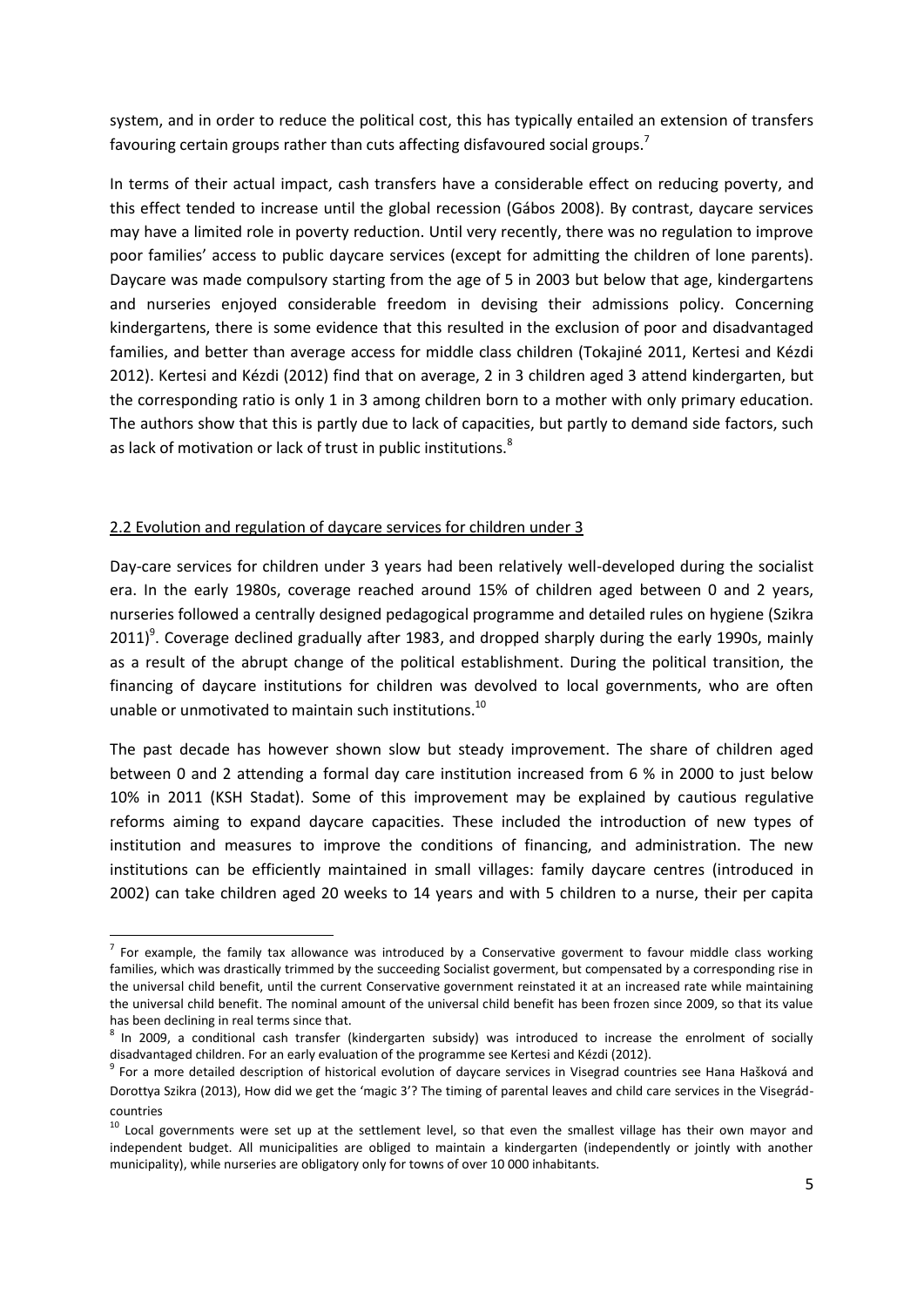system, and in order to reduce the political cost, this has typically entailed an extension of transfers favouring certain groups rather than cuts affecting disfavoured social groups.<sup>7</sup>

In terms of their actual impact, cash transfers have a considerable effect on reducing poverty, and this effect tended to increase until the global recession (Gábos 2008). By contrast, daycare services may have a limited role in poverty reduction. Until very recently, there was no regulation to improve poor families' access to public daycare services (except for admitting the children of lone parents). Daycare was made compulsory starting from the age of 5 in 2003 but below that age, kindergartens and nurseries enjoyed considerable freedom in devising their admissions policy. Concerning kindergartens, there is some evidence that this resulted in the exclusion of poor and disadvantaged families, and better than average access for middle class children (Tokajiné 2011, Kertesi and Kézdi 2012). Kertesi and Kézdi (2012) find that on average, 2 in 3 children aged 3 attend kindergarten, but the corresponding ratio is only 1 in 3 among children born to a mother with only primary education. The authors show that this is partly due to lack of capacities, but partly to demand side factors, such as lack of motivation or lack of trust in public institutions.<sup>8</sup>

#### 2.2 Evolution and regulation of daycare services for children under 3

1

Day-care services for children under 3 years had been relatively well-developed during the socialist era. In the early 1980s, coverage reached around 15% of children aged between 0 and 2 years, nurseries followed a centrally designed pedagogical programme and detailed rules on hygiene (Szikra  $2011$ <sup>9</sup>. Coverage declined gradually after 1983, and dropped sharply during the early 1990s, mainly as a result of the abrupt change of the political establishment. During the political transition, the financing of daycare institutions for children was devolved to local governments, who are often unable or unmotivated to maintain such institutions.<sup>10</sup>

The past decade has however shown slow but steady improvement. The share of children aged between 0 and 2 attending a formal day care institution increased from 6 % in 2000 to just below 10% in 2011 (KSH Stadat). Some of this improvement may be explained by cautious regulative reforms aiming to expand daycare capacities. These included the introduction of new types of institution and measures to improve the conditions of financing, and administration. The new institutions can be efficiently maintained in small villages: family daycare centres (introduced in 2002) can take children aged 20 weeks to 14 years and with 5 children to a nurse, their per capita

 $^7$  For example, the family tax allowance was introduced by a Conservative goverment to favour middle class working families, which was drastically trimmed by the succeeding Socialist goverment, but compensated by a corresponding rise in the universal child benefit, until the current Conservative government reinstated it at an increased rate while maintaining the universal child benefit. The nominal amount of the universal child benefit has been frozen since 2009, so that its value has been declining in real terms since that.

<sup>&</sup>lt;sup>8</sup> In 2009, a conditional cash transfer (kindergarten subsidy) was introduced to increase the enrolment of socially disadvantaged children. For an early evaluation of the programme see Kertesi and Kézdi (2012).

<sup>&</sup>lt;sup>9</sup> For a more detailed description of historical evolution of daycare services in Visegrad countries see Hana Hašková and Dorottya Szikra (2013), How did we get the 'magic 3'? The timing of parental leaves and child care services in the Visegrádcountries

<sup>&</sup>lt;sup>10</sup> Local governments were set up at the settlement level, so that even the smallest village has their own mayor and independent budget. All municipalities are obliged to maintain a kindergarten (independently or jointly with another municipality), while nurseries are obligatory only for towns of over 10 000 inhabitants.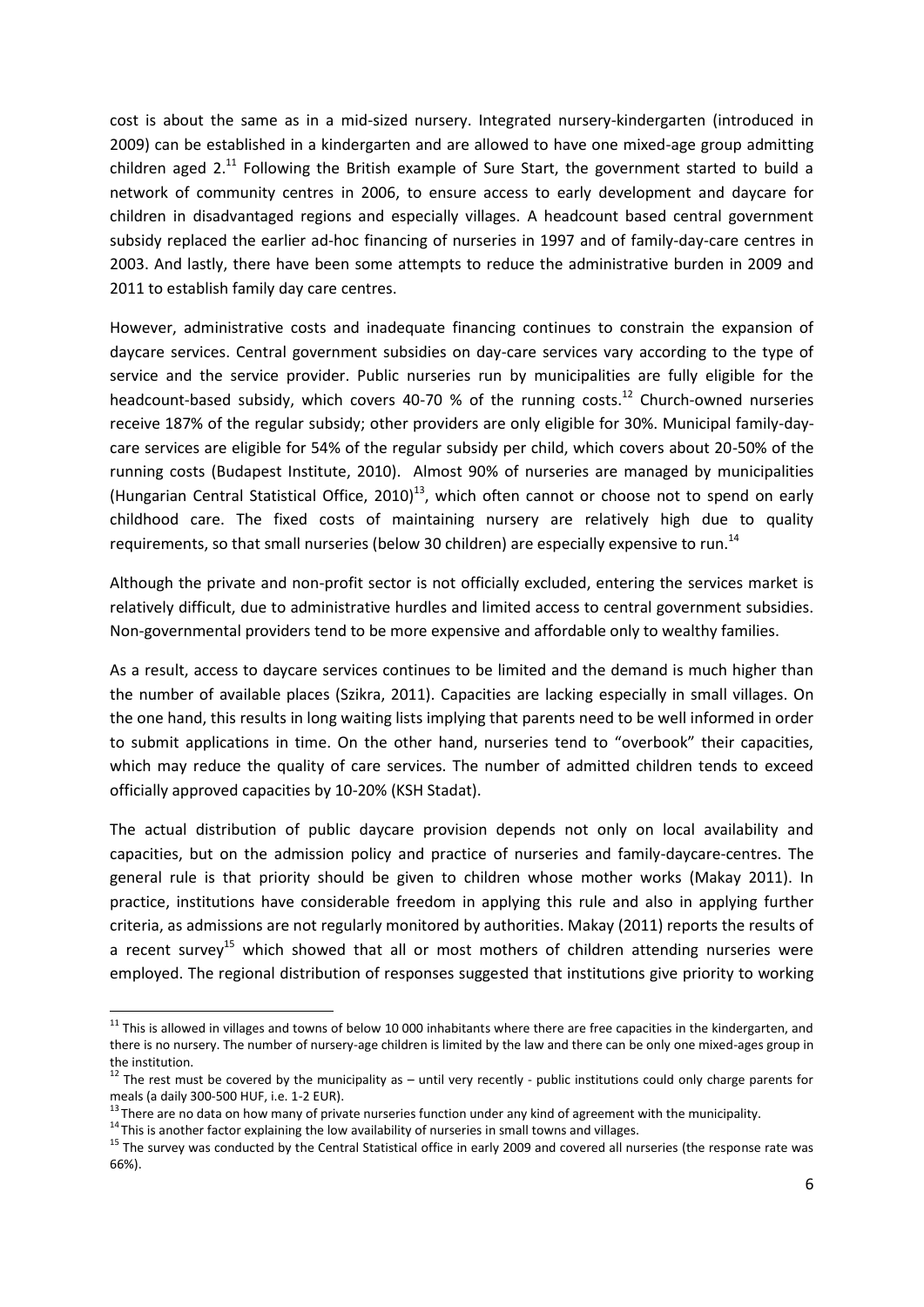cost is about the same as in a mid-sized nursery. Integrated nursery-kindergarten (introduced in 2009) can be established in a kindergarten and are allowed to have one mixed-age group admitting children aged  $2^{11}$  Following the British example of Sure Start, the government started to build a network of community centres in 2006, to ensure access to early development and daycare for children in disadvantaged regions and especially villages. A headcount based central government subsidy replaced the earlier ad-hoc financing of nurseries in 1997 and of family-day-care centres in 2003. And lastly, there have been some attempts to reduce the administrative burden in 2009 and 2011 to establish family day care centres.

However, administrative costs and inadequate financing continues to constrain the expansion of daycare services. Central government subsidies on day-care services vary according to the type of service and the service provider. Public nurseries run by municipalities are fully eligible for the headcount-based subsidy, which covers 40-70 % of the running costs.<sup>12</sup> Church-owned nurseries receive 187% of the regular subsidy; other providers are only eligible for 30%. Municipal family-daycare services are eligible for 54% of the regular subsidy per child, which covers about 20-50% of the running costs (Budapest Institute, 2010). Almost 90% of nurseries are managed by municipalities (Hungarian Central Statistical Office, 2010)<sup>13</sup>, which often cannot or choose not to spend on early childhood care. The fixed costs of maintaining nursery are relatively high due to quality requirements, so that small nurseries (below 30 children) are especially expensive to run.<sup>14</sup>

Although the private and non-profit sector is not officially excluded, entering the services market is relatively difficult, due to administrative hurdles and limited access to central government subsidies. Non-governmental providers tend to be more expensive and affordable only to wealthy families.

As a result, access to daycare services continues to be limited and the demand is much higher than the number of available places (Szikra, 2011). Capacities are lacking especially in small villages. On the one hand, this results in long waiting lists implying that parents need to be well informed in order to submit applications in time. On the other hand, nurseries tend to "overbook" their capacities, which may reduce the quality of care services. The number of admitted children tends to exceed officially approved capacities by 10-20% (KSH Stadat).

The actual distribution of public daycare provision depends not only on local availability and capacities, but on the admission policy and practice of nurseries and family-daycare-centres. The general rule is that priority should be given to children whose mother works (Makay 2011). In practice, institutions have considerable freedom in applying this rule and also in applying further criteria, as admissions are not regularly monitored by authorities. Makay (2011) reports the results of a recent survey<sup>15</sup> which showed that all or most mothers of children attending nurseries were employed. The regional distribution of responses suggested that institutions give priority to working

 $\overline{a}$ 

 $11$  This is allowed in villages and towns of below 10 000 inhabitants where there are free capacities in the kindergarten, and there is no nursery. The number of nursery-age children is limited by the law and there can be only one mixed-ages group in the institution.

 $12$  The rest must be covered by the municipality as  $-$  until very recently - public institutions could only charge parents for meals (a daily 300-500 HUF, i.e. 1-2 EUR).

<sup>&</sup>lt;sup>13</sup> There are no data on how many of private nurseries function under any kind of agreement with the municipality.

 $14$  This is another factor explaining the low availability of nurseries in small towns and villages.

<sup>&</sup>lt;sup>15</sup> The survey was conducted by the Central Statistical office in early 2009 and covered all nurseries (the response rate was 66%).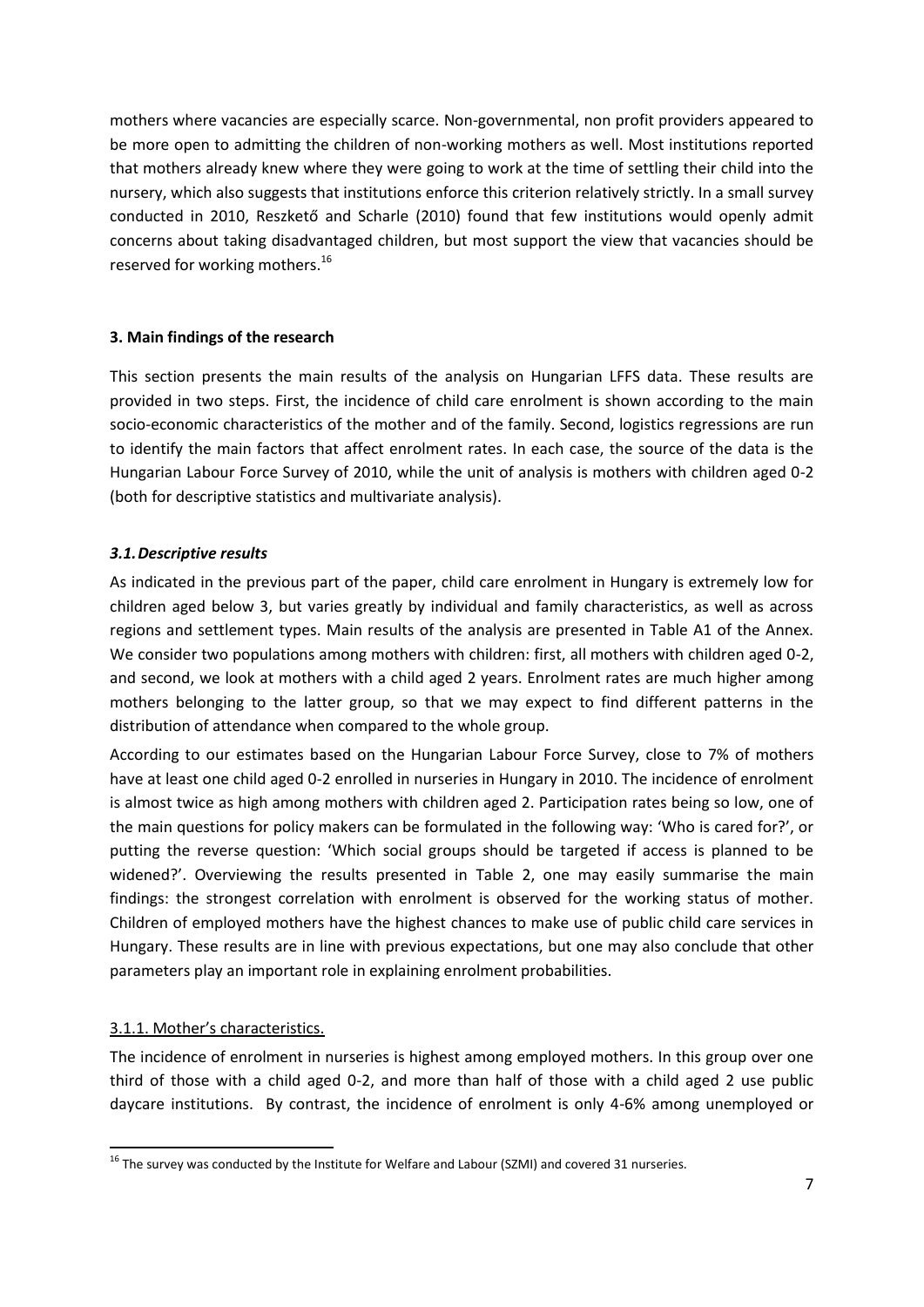mothers where vacancies are especially scarce. Non-governmental, non profit providers appeared to be more open to admitting the children of non-working mothers as well. Most institutions reported that mothers already knew where they were going to work at the time of settling their child into the nursery, which also suggests that institutions enforce this criterion relatively strictly. In a small survey conducted in 2010, Reszkető and Scharle (2010) found that few institutions would openly admit concerns about taking disadvantaged children, but most support the view that vacancies should be reserved for working mothers.<sup>16</sup>

## **3. Main findings of the research**

This section presents the main results of the analysis on Hungarian LFFS data. These results are provided in two steps. First, the incidence of child care enrolment is shown according to the main socio-economic characteristics of the mother and of the family. Second, logistics regressions are run to identify the main factors that affect enrolment rates. In each case, the source of the data is the Hungarian Labour Force Survey of 2010, while the unit of analysis is mothers with children aged 0-2 (both for descriptive statistics and multivariate analysis).

#### *3.1.Descriptive results*

As indicated in the previous part of the paper, child care enrolment in Hungary is extremely low for children aged below 3, but varies greatly by individual and family characteristics, as well as across regions and settlement types. Main results of the analysis are presented in Table A1 of the Annex. We consider two populations among mothers with children: first, all mothers with children aged 0-2, and second, we look at mothers with a child aged 2 years. Enrolment rates are much higher among mothers belonging to the latter group, so that we may expect to find different patterns in the distribution of attendance when compared to the whole group.

According to our estimates based on the Hungarian Labour Force Survey, close to 7% of mothers have at least one child aged 0-2 enrolled in nurseries in Hungary in 2010. The incidence of enrolment is almost twice as high among mothers with children aged 2. Participation rates being so low, one of the main questions for policy makers can be formulated in the following way: 'Who is cared for?', or putting the reverse question: 'Which social groups should be targeted if access is planned to be widened?'. Overviewing the results presented in Table 2, one may easily summarise the main findings: the strongest correlation with enrolment is observed for the working status of mother. Children of employed mothers have the highest chances to make use of public child care services in Hungary. These results are in line with previous expectations, but one may also conclude that other parameters play an important role in explaining enrolment probabilities.

## 3.1.1. Mother's characteristics.

**.** 

The incidence of enrolment in nurseries is highest among employed mothers. In this group over one third of those with a child aged 0-2, and more than half of those with a child aged 2 use public daycare institutions. By contrast, the incidence of enrolment is only 4-6% among unemployed or

 $16$  The survey was conducted by the Institute for Welfare and Labour (SZMI) and covered 31 nurseries.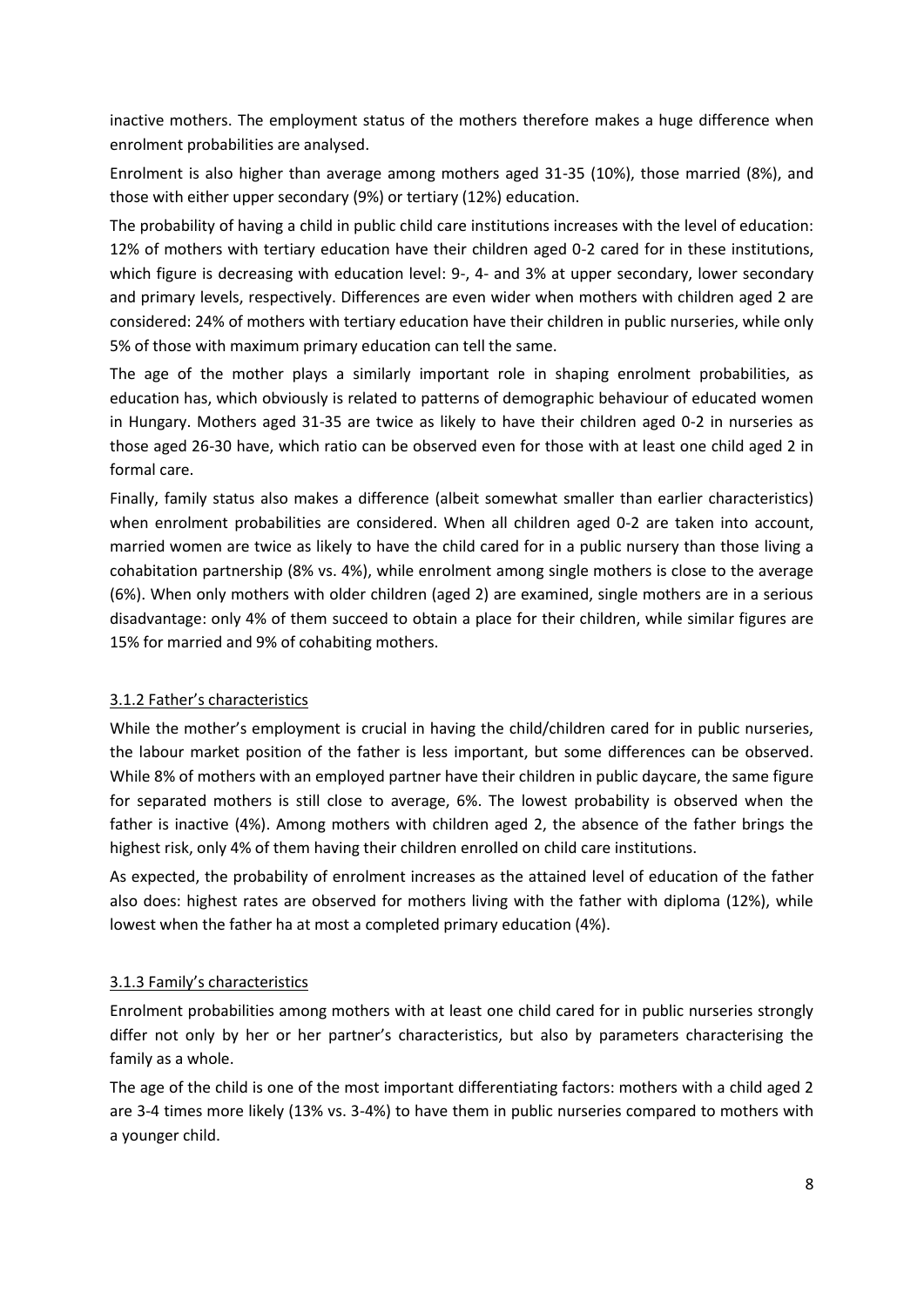inactive mothers. The employment status of the mothers therefore makes a huge difference when enrolment probabilities are analysed.

Enrolment is also higher than average among mothers aged 31-35 (10%), those married (8%), and those with either upper secondary (9%) or tertiary (12%) education.

The probability of having a child in public child care institutions increases with the level of education: 12% of mothers with tertiary education have their children aged 0-2 cared for in these institutions, which figure is decreasing with education level: 9-, 4- and 3% at upper secondary, lower secondary and primary levels, respectively. Differences are even wider when mothers with children aged 2 are considered: 24% of mothers with tertiary education have their children in public nurseries, while only 5% of those with maximum primary education can tell the same.

The age of the mother plays a similarly important role in shaping enrolment probabilities, as education has, which obviously is related to patterns of demographic behaviour of educated women in Hungary. Mothers aged 31-35 are twice as likely to have their children aged 0-2 in nurseries as those aged 26-30 have, which ratio can be observed even for those with at least one child aged 2 in formal care.

Finally, family status also makes a difference (albeit somewhat smaller than earlier characteristics) when enrolment probabilities are considered. When all children aged 0-2 are taken into account, married women are twice as likely to have the child cared for in a public nursery than those living a cohabitation partnership (8% vs. 4%), while enrolment among single mothers is close to the average (6%). When only mothers with older children (aged 2) are examined, single mothers are in a serious disadvantage: only 4% of them succeed to obtain a place for their children, while similar figures are 15% for married and 9% of cohabiting mothers.

## 3.1.2 Father's characteristics

While the mother's employment is crucial in having the child/children cared for in public nurseries, the labour market position of the father is less important, but some differences can be observed. While 8% of mothers with an employed partner have their children in public daycare, the same figure for separated mothers is still close to average, 6%. The lowest probability is observed when the father is inactive (4%). Among mothers with children aged 2, the absence of the father brings the highest risk, only 4% of them having their children enrolled on child care institutions.

As expected, the probability of enrolment increases as the attained level of education of the father also does: highest rates are observed for mothers living with the father with diploma (12%), while lowest when the father ha at most a completed primary education (4%).

## 3.1.3 Family's characteristics

Enrolment probabilities among mothers with at least one child cared for in public nurseries strongly differ not only by her or her partner's characteristics, but also by parameters characterising the family as a whole.

The age of the child is one of the most important differentiating factors: mothers with a child aged 2 are 3-4 times more likely (13% vs. 3-4%) to have them in public nurseries compared to mothers with a younger child.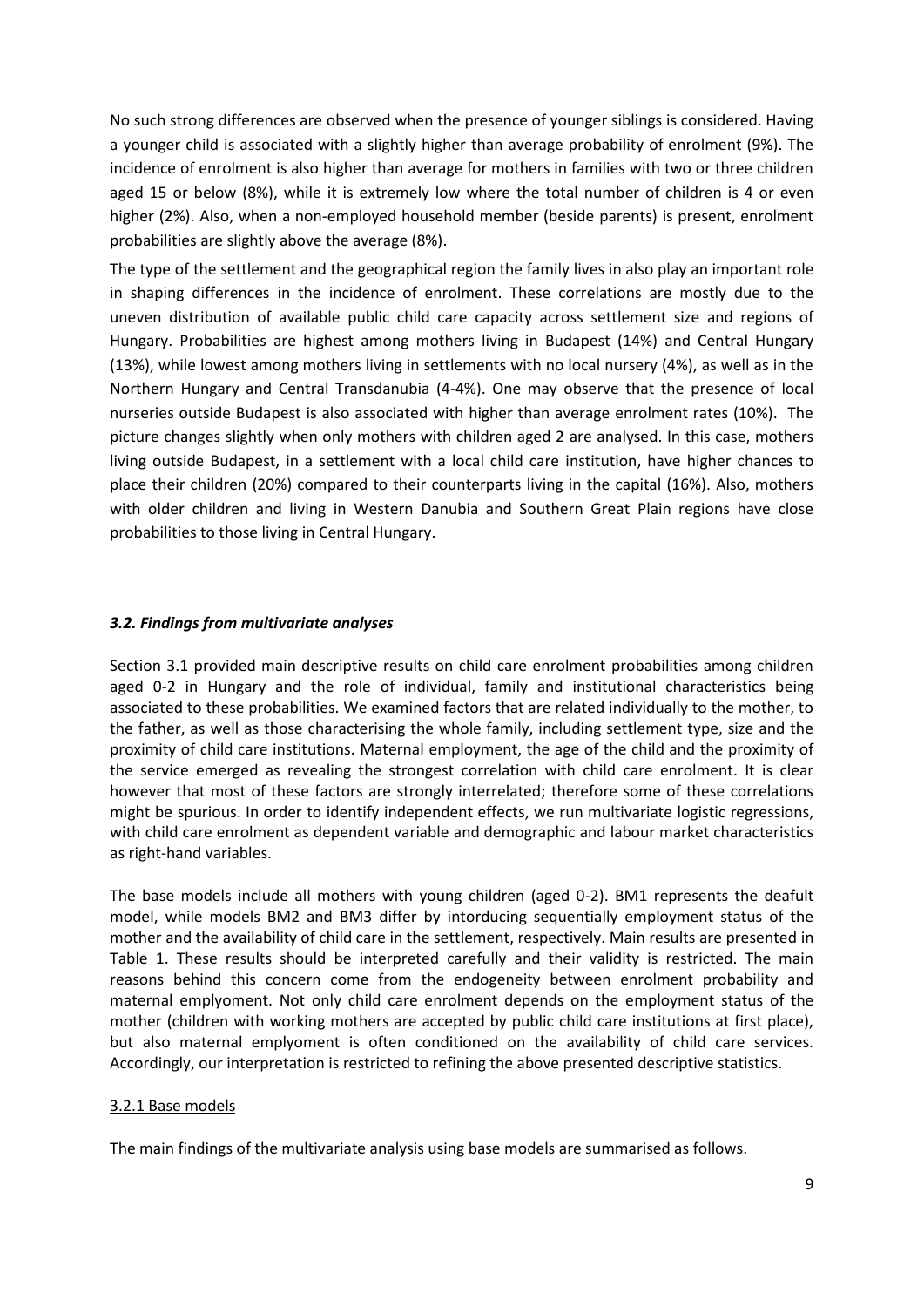No such strong differences are observed when the presence of younger siblings is considered. Having a younger child is associated with a slightly higher than average probability of enrolment (9%). The incidence of enrolment is also higher than average for mothers in families with two or three children aged 15 or below (8%), while it is extremely low where the total number of children is 4 or even higher (2%). Also, when a non-employed household member (beside parents) is present, enrolment probabilities are slightly above the average (8%).

The type of the settlement and the geographical region the family lives in also play an important role in shaping differences in the incidence of enrolment. These correlations are mostly due to the uneven distribution of available public child care capacity across settlement size and regions of Hungary. Probabilities are highest among mothers living in Budapest (14%) and Central Hungary (13%), while lowest among mothers living in settlements with no local nursery (4%), as well as in the Northern Hungary and Central Transdanubia (4-4%). One may observe that the presence of local nurseries outside Budapest is also associated with higher than average enrolment rates (10%). The picture changes slightly when only mothers with children aged 2 are analysed. In this case, mothers living outside Budapest, in a settlement with a local child care institution, have higher chances to place their children (20%) compared to their counterparts living in the capital (16%). Also, mothers with older children and living in Western Danubia and Southern Great Plain regions have close probabilities to those living in Central Hungary.

#### *3.2. Findings from multivariate analyses*

Section 3.1 provided main descriptive results on child care enrolment probabilities among children aged 0-2 in Hungary and the role of individual, family and institutional characteristics being associated to these probabilities. We examined factors that are related individually to the mother, to the father, as well as those characterising the whole family, including settlement type, size and the proximity of child care institutions. Maternal employment, the age of the child and the proximity of the service emerged as revealing the strongest correlation with child care enrolment. It is clear however that most of these factors are strongly interrelated; therefore some of these correlations might be spurious. In order to identify independent effects, we run multivariate logistic regressions, with child care enrolment as dependent variable and demographic and labour market characteristics as right-hand variables.

The base models include all mothers with young children (aged 0-2). BM1 represents the deafult model, while models BM2 and BM3 differ by intorducing sequentially employment status of the mother and the availability of child care in the settlement, respectively. Main results are presented in Table 1. These results should be interpreted carefully and their validity is restricted. The main reasons behind this concern come from the endogeneity between enrolment probability and maternal emplyoment. Not only child care enrolment depends on the employment status of the mother (children with working mothers are accepted by public child care institutions at first place), but also maternal emplyoment is often conditioned on the availability of child care services. Accordingly, our interpretation is restricted to refining the above presented descriptive statistics.

#### 3.2.1 Base models

The main findings of the multivariate analysis using base models are summarised as follows.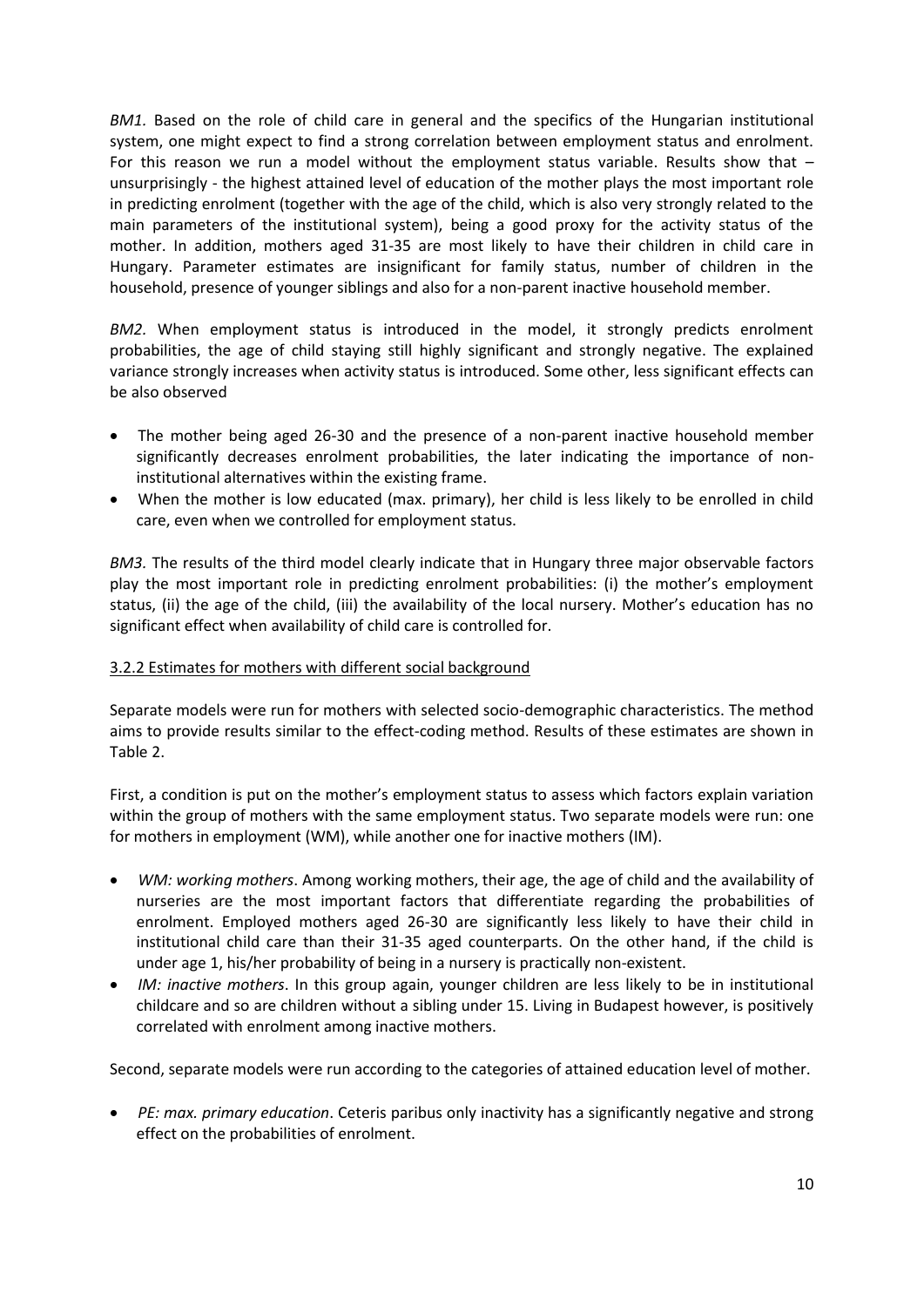*BM1.* Based on the role of child care in general and the specifics of the Hungarian institutional system, one might expect to find a strong correlation between employment status and enrolment. For this reason we run a model without the employment status variable. Results show that – unsurprisingly - the highest attained level of education of the mother plays the most important role in predicting enrolment (together with the age of the child, which is also very strongly related to the main parameters of the institutional system), being a good proxy for the activity status of the mother. In addition, mothers aged 31-35 are most likely to have their children in child care in Hungary. Parameter estimates are insignificant for family status, number of children in the household, presence of younger siblings and also for a non-parent inactive household member.

BM2. When employment status is introduced in the model, it strongly predicts enrolment probabilities, the age of child staying still highly significant and strongly negative. The explained variance strongly increases when activity status is introduced. Some other, less significant effects can be also observed

- The mother being aged 26-30 and the presence of a non-parent inactive household member significantly decreases enrolment probabilities, the later indicating the importance of noninstitutional alternatives within the existing frame.
- When the mother is low educated (max. primary), her child is less likely to be enrolled in child care, even when we controlled for employment status.

*BM3.* The results of the third model clearly indicate that in Hungary three major observable factors play the most important role in predicting enrolment probabilities: (i) the mother's employment status, (ii) the age of the child, (iii) the availability of the local nursery. Mother's education has no significant effect when availability of child care is controlled for.

## 3.2.2 Estimates for mothers with different social background

Separate models were run for mothers with selected socio-demographic characteristics. The method aims to provide results similar to the effect-coding method. Results of these estimates are shown in Table 2.

First, a condition is put on the mother's employment status to assess which factors explain variation within the group of mothers with the same employment status. Two separate models were run: one for mothers in employment (WM), while another one for inactive mothers (IM).

- *WM: working mothers*. Among working mothers, their age, the age of child and the availability of nurseries are the most important factors that differentiate regarding the probabilities of enrolment. Employed mothers aged 26-30 are significantly less likely to have their child in institutional child care than their 31-35 aged counterparts. On the other hand, if the child is under age 1, his/her probability of being in a nursery is practically non-existent.
- *IM: inactive mothers*. In this group again, younger children are less likely to be in institutional childcare and so are children without a sibling under 15. Living in Budapest however, is positively correlated with enrolment among inactive mothers.

Second, separate models were run according to the categories of attained education level of mother.

 *PE: max. primary education*. Ceteris paribus only inactivity has a significantly negative and strong effect on the probabilities of enrolment.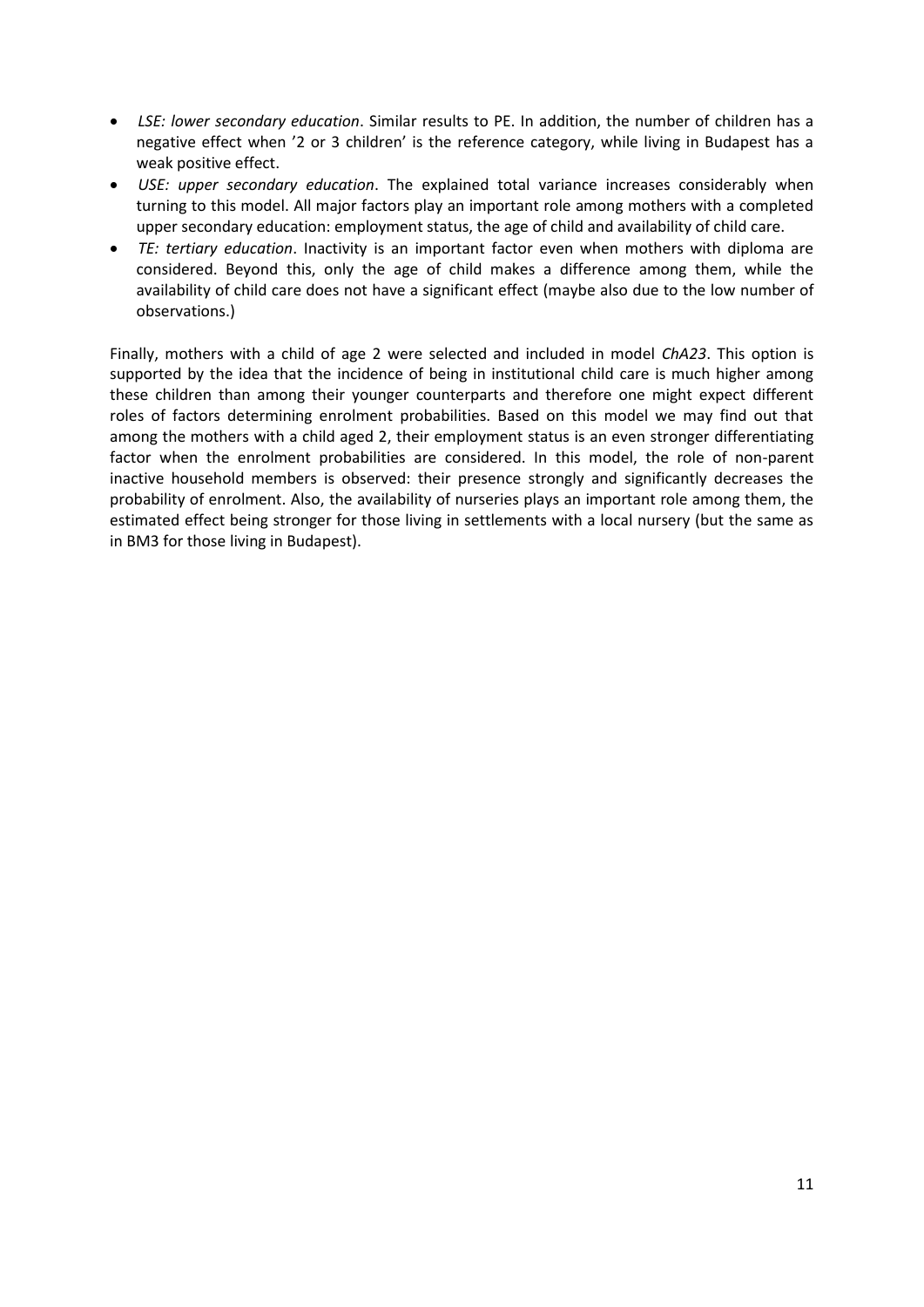- *LSE: lower secondary education*. Similar results to PE. In addition, the number of children has a negative effect when '2 or 3 children' is the reference category, while living in Budapest has a weak positive effect.
- *USE: upper secondary education*. The explained total variance increases considerably when turning to this model. All major factors play an important role among mothers with a completed upper secondary education: employment status, the age of child and availability of child care.
- *TE: tertiary education*. Inactivity is an important factor even when mothers with diploma are considered. Beyond this, only the age of child makes a difference among them, while the availability of child care does not have a significant effect (maybe also due to the low number of observations.)

Finally, mothers with a child of age 2 were selected and included in model *ChA23*. This option is supported by the idea that the incidence of being in institutional child care is much higher among these children than among their younger counterparts and therefore one might expect different roles of factors determining enrolment probabilities. Based on this model we may find out that among the mothers with a child aged 2, their employment status is an even stronger differentiating factor when the enrolment probabilities are considered. In this model, the role of non-parent inactive household members is observed: their presence strongly and significantly decreases the probability of enrolment. Also, the availability of nurseries plays an important role among them, the estimated effect being stronger for those living in settlements with a local nursery (but the same as in BM3 for those living in Budapest).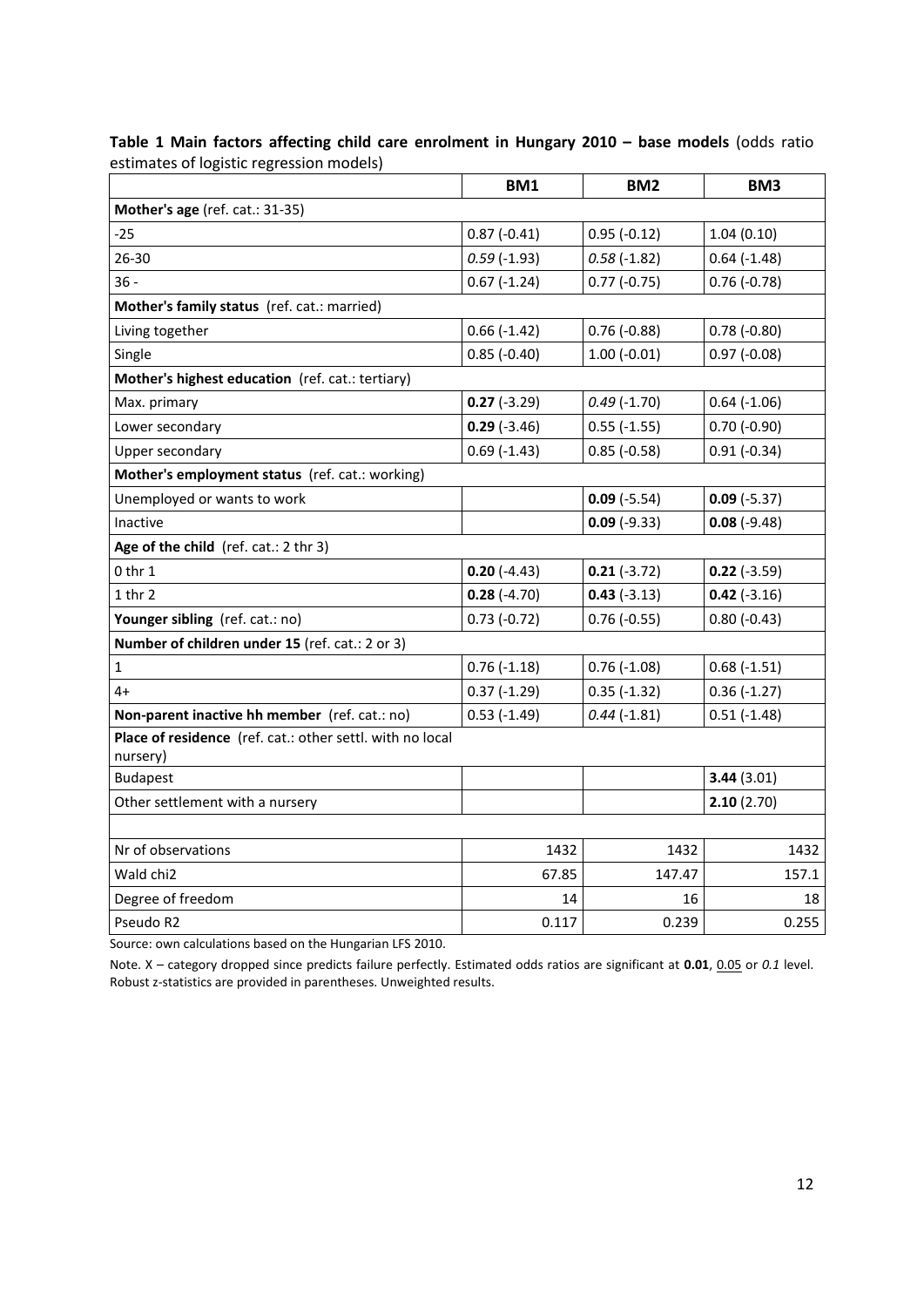**Table 1 Main factors affecting child care enrolment in Hungary 2010 – base models** (odds ratio estimates of logistic regression models)

|                                                                       | BM1                | BM <sub>2</sub> | BM <sub>3</sub>    |  |  |  |  |
|-----------------------------------------------------------------------|--------------------|-----------------|--------------------|--|--|--|--|
| Mother's age (ref. cat.: 31-35)                                       |                    |                 |                    |  |  |  |  |
| $-25$                                                                 | $0.87(-0.41)$      | $0.95(-0.12)$   | 1.04(0.10)         |  |  |  |  |
| 26-30                                                                 | $0.59$ (-1.93)     | $0.58(-1.82)$   | $0.64$ ( $-1.48$ ) |  |  |  |  |
| $36 -$                                                                | $0.67(-1.24)$      | $0.77(-0.75)$   | $0.76(-0.78)$      |  |  |  |  |
| Mother's family status (ref. cat.: married)                           |                    |                 |                    |  |  |  |  |
| Living together                                                       | $0.66$ (-1.42)     | $0.76(-0.88)$   | $0.78(-0.80)$      |  |  |  |  |
| Single                                                                | $0.85$ ( $-0.40$ ) | $1.00(-0.01)$   | $0.97(-0.08)$      |  |  |  |  |
| Mother's highest education (ref. cat.: tertiary)                      |                    |                 |                    |  |  |  |  |
| Max. primary                                                          | $0.27(-3.29)$      | $0.49(-1.70)$   | $0.64$ ( $-1.06$ ) |  |  |  |  |
| Lower secondary                                                       | $0.29(-3.46)$      | $0.55(-1.55)$   | $0.70(-0.90)$      |  |  |  |  |
| Upper secondary                                                       | $0.69$ (-1.43)     | $0.85(-0.58)$   | $0.91(-0.34)$      |  |  |  |  |
| Mother's employment status (ref. cat.: working)                       |                    |                 |                    |  |  |  |  |
| Unemployed or wants to work                                           |                    | $0.09(-5.54)$   | $0.09(-5.37)$      |  |  |  |  |
| Inactive                                                              |                    | $0.09(-9.33)$   | $0.08(-9.48)$      |  |  |  |  |
| Age of the child (ref. cat.: 2 thr 3)                                 |                    |                 |                    |  |  |  |  |
| $0$ thr $1$                                                           | $0.20(-4.43)$      | $0.21(-3.72)$   | $0.22(-3.59)$      |  |  |  |  |
| $1$ thr $2$                                                           | $0.28(-4.70)$      | $0.43(-3.13)$   | $0.42$ (-3.16)     |  |  |  |  |
| Younger sibling (ref. cat.: no)                                       | $0.73(-0.72)$      | $0.76(-0.55)$   | $0.80(-0.43)$      |  |  |  |  |
| Number of children under 15 (ref. cat.: 2 or 3)                       |                    |                 |                    |  |  |  |  |
| $\mathbf{1}$                                                          | $0.76$ ( $-1.18$ ) | $0.76(-1.08)$   | $0.68(-1.51)$      |  |  |  |  |
| $4+$                                                                  | $0.37(-1.29)$      | $0.35(-1.32)$   | $0.36(-1.27)$      |  |  |  |  |
| Non-parent inactive hh member (ref. cat.: no)                         | $0.53$ (-1.49)     | $0.44$ (-1.81)  | $0.51(-1.48)$      |  |  |  |  |
| Place of residence (ref. cat.: other settl. with no local<br>nursery) |                    |                 |                    |  |  |  |  |
| <b>Budapest</b>                                                       |                    |                 | 3.44(3.01)         |  |  |  |  |
| Other settlement with a nursery                                       |                    |                 | 2.10(2.70)         |  |  |  |  |
|                                                                       |                    |                 |                    |  |  |  |  |
| Nr of observations                                                    | 1432               | 1432            | 1432               |  |  |  |  |
| Wald chi2                                                             | 67.85              | 147.47          | 157.1              |  |  |  |  |
| Degree of freedom                                                     | 14                 | 16              | 18                 |  |  |  |  |
| Pseudo R2                                                             | 0.117              | 0.239           | 0.255              |  |  |  |  |

Source: own calculations based on the Hungarian LFS 2010.

Note. X – category dropped since predicts failure perfectly. Estimated odds ratios are significant at **0.01**, 0.05 or *0.1* level. Robust z-statistics are provided in parentheses. Unweighted results.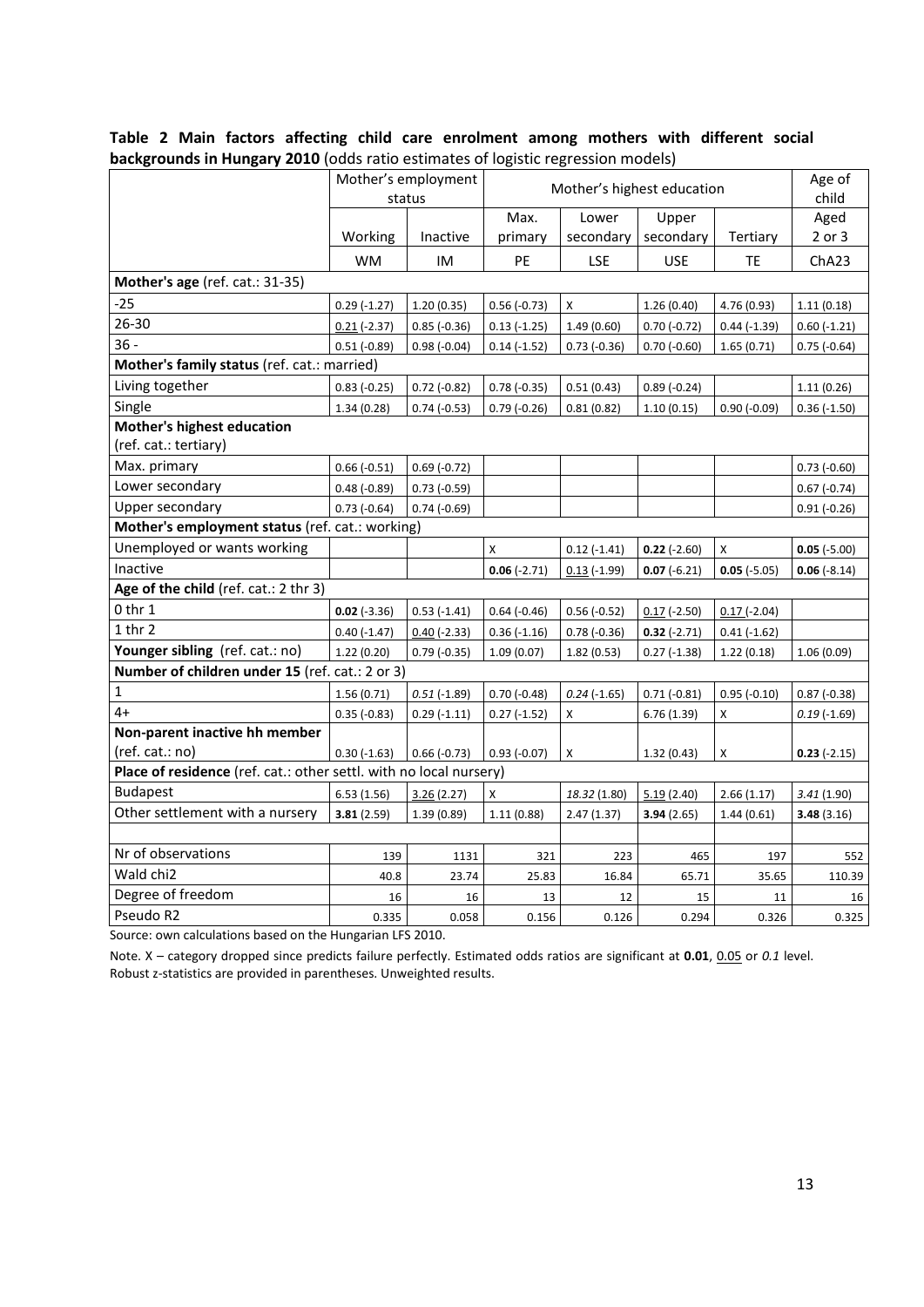|                                                                    |                | Mother's employment<br>status | Mother's highest education |                |                | Age of<br>child |                |
|--------------------------------------------------------------------|----------------|-------------------------------|----------------------------|----------------|----------------|-----------------|----------------|
|                                                                    |                |                               | Max.                       | Lower          | Upper          |                 | Aged           |
|                                                                    | Working        | Inactive                      | primary                    | secondary      | secondary      | Tertiary        | 2 or 3         |
|                                                                    | <b>WM</b>      | IM                            | PE                         | <b>LSE</b>     | <b>USE</b>     | TE              | ChA23          |
| Mother's age (ref. cat.: 31-35)                                    |                |                               |                            |                |                |                 |                |
| $-25$                                                              | $0.29(-1.27)$  | 1.20(0.35)                    | $0.56(-0.73)$              | X              | 1.26(0.40)     | 4.76 (0.93)     | 1.11(0.18)     |
| 26-30                                                              | $0.21$ (-2.37) | $0.85$ ( $-0.36$ )            | $0.13(-1.25)$              | 1.49(0.60)     | $0.70(-0.72)$  | $0.44$ (-1.39)  | $0.60$ (-1.21) |
| $36 -$                                                             | $0.51(-0.89)$  | $0.98(-0.04)$                 | $0.14(-1.52)$              | $0.73$ (-0.36) | $0.70(-0.60)$  | 1.65(0.71)      | $0.75$ (-0.64) |
| Mother's family status (ref. cat.: married)                        |                |                               |                            |                |                |                 |                |
| Living together                                                    | $0.83(-0.25)$  | $0.72$ (-0.82)                | $0.78(-0.35)$              | 0.51(0.43)     | $0.89(-0.24)$  |                 | 1.11(0.26)     |
| Single                                                             | 1.34(0.28)     | $0.74$ ( $-0.53$ )            | $0.79(-0.26)$              | 0.81(0.82)     | 1.10(0.15)     | $0.90(-0.09)$   | $0.36(-1.50)$  |
| <b>Mother's highest education</b>                                  |                |                               |                            |                |                |                 |                |
| (ref. cat.: tertiary)                                              |                |                               |                            |                |                |                 |                |
| Max. primary                                                       | $0.66(-0.51)$  | $0.69(-0.72)$                 |                            |                |                |                 | $0.73$ (-0.60) |
| Lower secondary                                                    | $0.48(-0.89)$  | $0.73$ (-0.59)                |                            |                |                |                 | $0.67(-0.74)$  |
| Upper secondary                                                    | $0.73(-0.64)$  | $0.74$ (-0.69)                |                            |                |                |                 | $0.91(-0.26)$  |
| Mother's employment status (ref. cat.: working)                    |                |                               |                            |                |                |                 |                |
| Unemployed or wants working                                        |                |                               | X                          | $0.12$ (-1.41) | $0.22$ (-2.60) | X               | $0.05 (-5.00)$ |
| Inactive                                                           |                |                               | $0.06(-2.71)$              | $0.13$ (-1.99) | $0.07 (-6.21)$ | $0.05 (-5.05)$  | $0.06(-8.14)$  |
| Age of the child (ref. cat.: 2 thr 3)                              |                |                               |                            |                |                |                 |                |
| $0$ thr $1$                                                        | $0.02 (-3.36)$ | $0.53$ (-1.41)                | $0.64 (-0.46)$             | $0.56(-0.52)$  | $0.17$ (-2.50) | $0.17(-2.04)$   |                |
| $1$ thr $2$                                                        | $0.40(-1.47)$  | $0.40$ (-2.33)                | $0.36(-1.16)$              | $0.78(-0.36)$  | $0.32(-2.71)$  | $0.41(-1.62)$   |                |
| Younger sibling (ref. cat.: no)                                    | 1.22(0.20)     | $0.79(-0.35)$                 | 1.09(0.07)                 | 1.82(0.53)     | $0.27$ (-1.38) | 1.22(0.18)      | 1.06(0.09)     |
| Number of children under 15 (ref. cat.: 2 or 3)                    |                |                               |                            |                |                |                 |                |
| $\mathbf 1$                                                        | 1.56(0.71)     | $0.51$ (-1.89)                | $0.70(-0.48)$              | $0.24$ (-1.65) | $0.71(-0.81)$  | $0.95(-0.10)$   | $0.87(-0.38)$  |
| $4+$                                                               | $0.35(-0.83)$  | $0.29(-1.11)$                 | $0.27(-1.52)$              | x              | 6.76 (1.39)    | X               | $0.19(-1.69)$  |
| Non-parent inactive hh member                                      |                |                               |                            |                |                |                 |                |
| (ref. cat.: no)                                                    | $0.30(-1.63)$  | $0.66(-0.73)$                 | $0.93(-0.07)$              | X              | 1.32(0.43)     | X               | $0.23(-2.15)$  |
| Place of residence (ref. cat.: other settl. with no local nursery) |                |                               |                            |                |                |                 |                |
| <b>Budapest</b>                                                    | 6.53(1.56)     | 3.26(2.27)                    | X                          | 18.32 (1.80)   | 5.19(2.40)     | 2.66(1.17)      | 3.41 (1.90)    |
| Other settlement with a nursery                                    | 3.81(2.59)     | 1.39(0.89)                    | 1.11(0.88)                 | 2.47(1.37)     | 3.94(2.65)     | 1.44(0.61)      | 3.48(3.16)     |
|                                                                    |                |                               |                            |                |                |                 |                |
| Nr of observations                                                 | 139            | 1131                          | 321                        | 223            | 465            | 197             | 552            |
| Wald chi2                                                          | 40.8           | 23.74                         | 25.83                      | 16.84          | 65.71          | 35.65           | 110.39         |
| Degree of freedom                                                  | 16             | 16                            | 13                         | 12             | 15             | 11              | 16             |
| Pseudo R2                                                          | 0.335          | 0.058                         | 0.156                      | 0.126          | 0.294          | 0.326           | 0.325          |

#### **Table 2 Main factors affecting child care enrolment among mothers with different social backgrounds in Hungary 2010** (odds ratio estimates of logistic regression models)

Source: own calculations based on the Hungarian LFS 2010.

Note. X - category dropped since predicts failure perfectly. Estimated odds ratios are significant at 0.01, 0.05 or 0.1 level. Robust z-statistics are provided in parentheses. Unweighted results.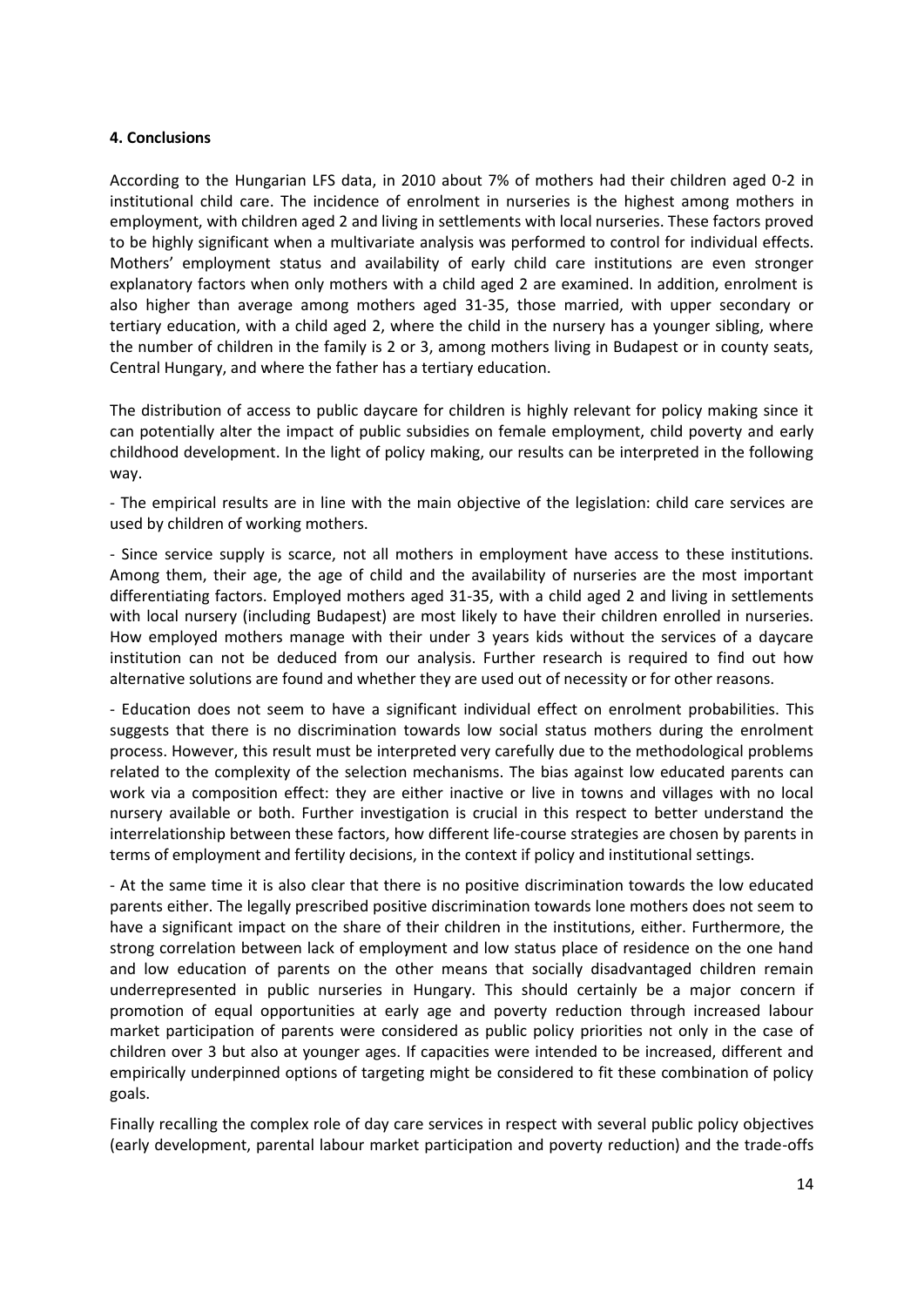#### **4. Conclusions**

According to the Hungarian LFS data, in 2010 about 7% of mothers had their children aged 0-2 in institutional child care. The incidence of enrolment in nurseries is the highest among mothers in employment, with children aged 2 and living in settlements with local nurseries. These factors proved to be highly significant when a multivariate analysis was performed to control for individual effects. Mothers' employment status and availability of early child care institutions are even stronger explanatory factors when only mothers with a child aged 2 are examined. In addition, enrolment is also higher than average among mothers aged 31-35, those married, with upper secondary or tertiary education, with a child aged 2, where the child in the nursery has a younger sibling, where the number of children in the family is 2 or 3, among mothers living in Budapest or in county seats, Central Hungary, and where the father has a tertiary education.

The distribution of access to public daycare for children is highly relevant for policy making since it can potentially alter the impact of public subsidies on female employment, child poverty and early childhood development. In the light of policy making, our results can be interpreted in the following way.

- The empirical results are in line with the main objective of the legislation: child care services are used by children of working mothers.

- Since service supply is scarce, not all mothers in employment have access to these institutions. Among them, their age, the age of child and the availability of nurseries are the most important differentiating factors. Employed mothers aged 31-35, with a child aged 2 and living in settlements with local nursery (including Budapest) are most likely to have their children enrolled in nurseries. How employed mothers manage with their under 3 years kids without the services of a daycare institution can not be deduced from our analysis. Further research is required to find out how alternative solutions are found and whether they are used out of necessity or for other reasons.

- Education does not seem to have a significant individual effect on enrolment probabilities. This suggests that there is no discrimination towards low social status mothers during the enrolment process. However, this result must be interpreted very carefully due to the methodological problems related to the complexity of the selection mechanisms. The bias against low educated parents can work via a composition effect: they are either inactive or live in towns and villages with no local nursery available or both. Further investigation is crucial in this respect to better understand the interrelationship between these factors, how different life-course strategies are chosen by parents in terms of employment and fertility decisions, in the context if policy and institutional settings.

- At the same time it is also clear that there is no positive discrimination towards the low educated parents either. The legally prescribed positive discrimination towards lone mothers does not seem to have a significant impact on the share of their children in the institutions, either. Furthermore, the strong correlation between lack of employment and low status place of residence on the one hand and low education of parents on the other means that socially disadvantaged children remain underrepresented in public nurseries in Hungary. This should certainly be a major concern if promotion of equal opportunities at early age and poverty reduction through increased labour market participation of parents were considered as public policy priorities not only in the case of children over 3 but also at younger ages. If capacities were intended to be increased, different and empirically underpinned options of targeting might be considered to fit these combination of policy goals.

Finally recalling the complex role of day care services in respect with several public policy objectives (early development, parental labour market participation and poverty reduction) and the trade-offs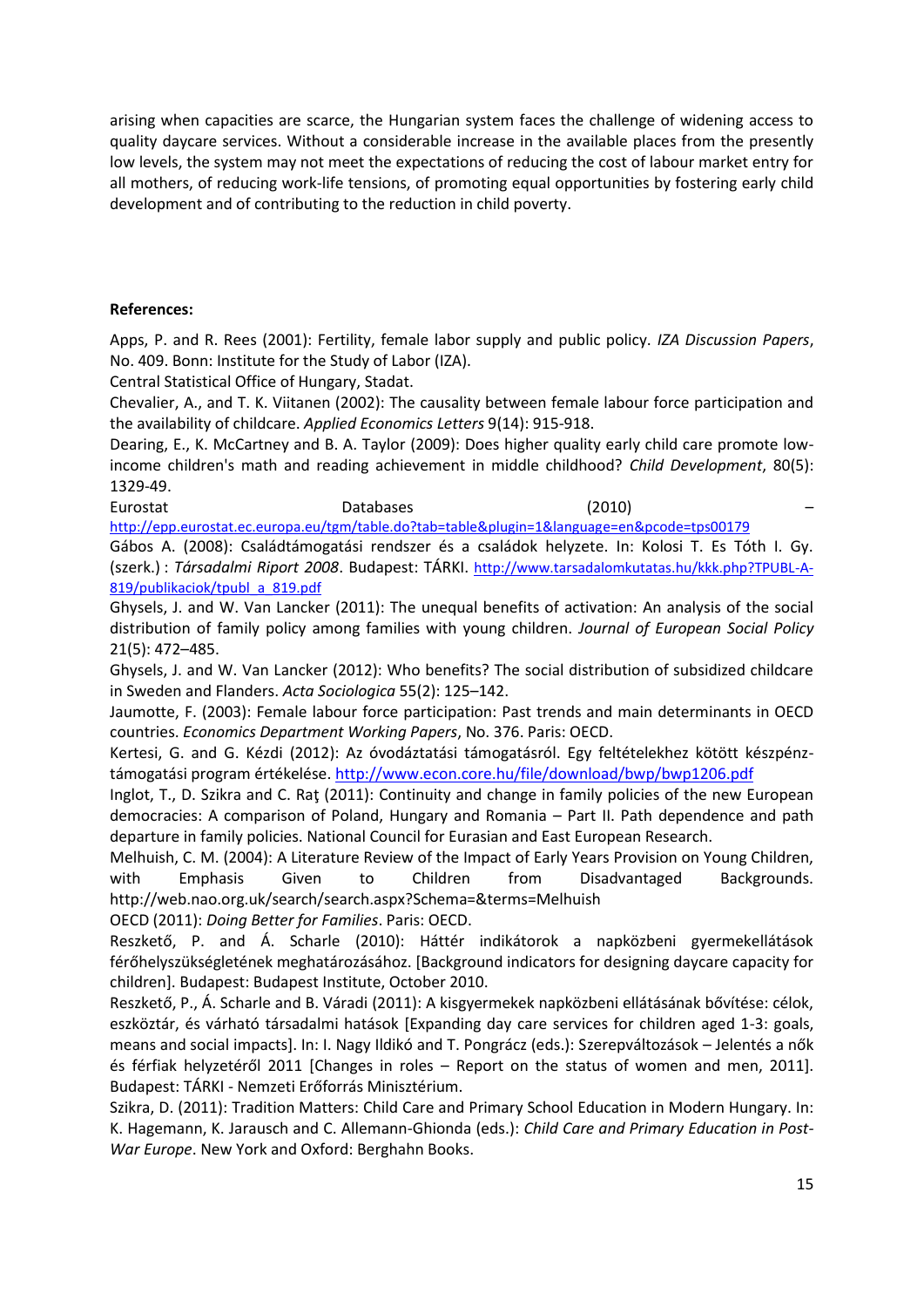arising when capacities are scarce, the Hungarian system faces the challenge of widening access to quality daycare services. Without a considerable increase in the available places from the presently low levels, the system may not meet the expectations of reducing the cost of labour market entry for all mothers, of reducing work-life tensions, of promoting equal opportunities by fostering early child development and of contributing to the reduction in child poverty.

## **References:**

Apps, P. and R. Rees (2001): Fertility, female labor supply and public policy. *IZA Discussion Papers*, No. 409. Bonn: Institute for the Study of Labor (IZA).

Central Statistical Office of Hungary, Stadat.

Chevalier, A., and T. K. Viitanen (2002): The causality between female labour force participation and the availability of childcare. *Applied Economics Letters* 9(14): 915-918.

[Dearing, E.](http://www.ncbi.nlm.nih.gov/pubmed?term=%22Dearing%20E%22%5BAuthor%5D&itool=EntrezSystem2.PEntrez.Pubmed.Pubmed_ResultsPanel.Pubmed_RVAbstract), K. McCartney and B. A. [Taylor \(](http://www.ncbi.nlm.nih.gov/pubmed?term=%22Taylor%20BA%22%5BAuthor%5D&itool=EntrezSystem2.PEntrez.Pubmed.Pubmed_ResultsPanel.Pubmed_RVAbstract)2009): Does higher quality early child care promote lowincome children's math and reading achievement in middle childhood? *[Child Development](javascript:AL_get(this,%20)*, 80(5): 1329-49.

Eurostat Databases (2010) – <http://epp.eurostat.ec.europa.eu/tgm/table.do?tab=table&plugin=1&language=en&pcode=tps00179>

Gábos A. (2008): Családtámogatási rendszer és a családok helyzete. In: Kolosi T. Es Tóth I. Gy. (szerk.) : *Társadalmi Riport 2008*. Budapest: TÁRKI. [http://www.tarsadalomkutatas.hu/kkk.php?TPUBL-A-](http://www.tarsadalomkutatas.hu/kkk.php?TPUBL-A-819/publikaciok/tpubl_a_819.pdf)[819/publikaciok/tpubl\\_a\\_819.pdf](http://www.tarsadalomkutatas.hu/kkk.php?TPUBL-A-819/publikaciok/tpubl_a_819.pdf)

Ghysels, J. and W. Van Lancker (2011): The unequal benefits of activation: An analysis of the social distribution of family policy among families with young children. *Journal of European Social Policy* 21(5): 472–485.

Ghysels, J. and W. Van Lancker (2012): Who benefits? The social distribution of subsidized childcare in Sweden and Flanders. *Acta Sociologica* 55(2): 125–142.

Jaumotte, F. (2003): Female labour force participation: Past trends and main determinants in OECD countries. *Economics Department Working Papers*, No. 376. Paris: OECD.

Kertesi, G. and G. Kézdi (2012): Az óvodáztatási támogatásról. Egy feltételekhez kötött készpénztámogatási program értékelése. <http://www.econ.core.hu/file/download/bwp/bwp1206.pdf>

Inglot, T., D. Szikra and C. Raţ (2011): Continuity and change in family policies of the new European democracies: A comparison of Poland, Hungary and Romania – Part II. Path dependence and path departure in family policies. National Council for Eurasian and East European Research.

Melhuish, C. M. (2004): A Literature Review of the Impact of Early Years Provision on Young Children, with Emphasis Given to Children from Disadvantaged Backgrounds. http://web.nao.org.uk/search/search.aspx?Schema=&terms=Melhuish

OECD (2011): *Doing Better for Families*. Paris: OECD.

Reszkető, P. and Á. Scharle (2010): Háttér indikátorok a napközbeni gyermekellátások férőhelyszükségletének meghatározásához. [Background indicators for designing daycare capacity for children]. Budapest: Budapest Institute, October 2010.

Reszkető, P., Á. Scharle and B. Váradi (2011): A kisgyermekek napközbeni ellátásának bővítése: célok, eszköztár, és várható társadalmi hatások [Expanding day care services for children aged 1-3: goals, means and social impacts]. In: I. Nagy Ildikó and T. Pongrácz (eds.): Szerepváltozások – Jelentés a nők és férfiak helyzetéről 2011 [Changes in roles – Report on the status of women and men, 2011]. Budapest: TÁRKI - Nemzeti Erőforrás Minisztérium.

Szikra, D. (2011): Tradition Matters: Child Care and Primary School Education in Modern Hungary. In: K. Hagemann, K. Jarausch and C. Allemann-Ghionda (eds.): *Child Care and Primary Education in Post-War Europe*. New York and Oxford: Berghahn Books.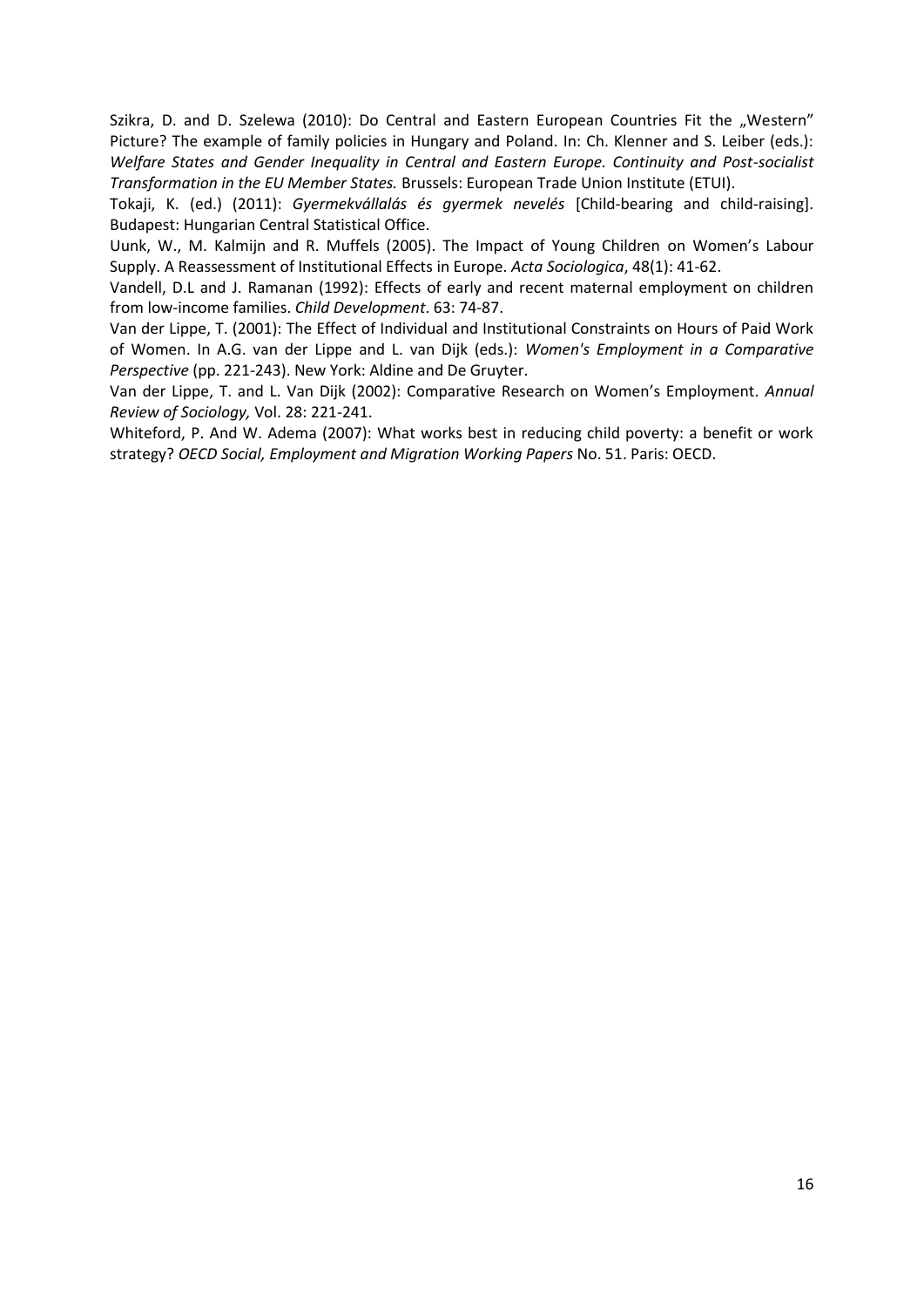Szikra, D. and D. Szelewa (2010): Do Central and Eastern European Countries Fit the "Western" Picture? The example of family policies in Hungary and Poland. In: Ch. Klenner and S. Leiber (eds.): *Welfare States and Gender Inequality in Central and Eastern Europe. Continuity and Post-socialist Transformation in the EU Member States.* Brussels: European Trade Union Institute (ETUI).

Tokaji, K. (ed.) (2011): *Gyermekvállalás és gyermek nevelés* [Child-bearing and child-raising]. Budapest: Hungarian Central Statistical Office.

Uunk, W., M. Kalmijn and R. Muffels (2005). The Impact of Young Children on Women's Labour Supply. A Reassessment of Institutional Effects in Europe. *Acta Sociologica*, 48(1): 41-62.

Vandell, D.L and J. Ramanan (1992): Effects of early and recent maternal employment on children from low-income families. *Child Development*. 63: 74-87.

Van der Lippe, T. (2001): The Effect of Individual and Institutional Constraints on Hours of Paid Work of Women. In A.G. van der Lippe and L. van Dijk (eds.): *Women's Employment in a Comparative Perspective* (pp. 221-243). New York: Aldine and De Gruyter.

Van der Lippe, T. and L. Van Dijk (2002): Comparative Research on Women's Employment. *Annual Review of Sociology,* Vol. 28: 221-241.

Whiteford, P. And W. Adema (2007): What works best in reducing child poverty: a benefit or work strategy? *OECD Social, Employment and Migration Working Papers* No. 51. Paris: OECD.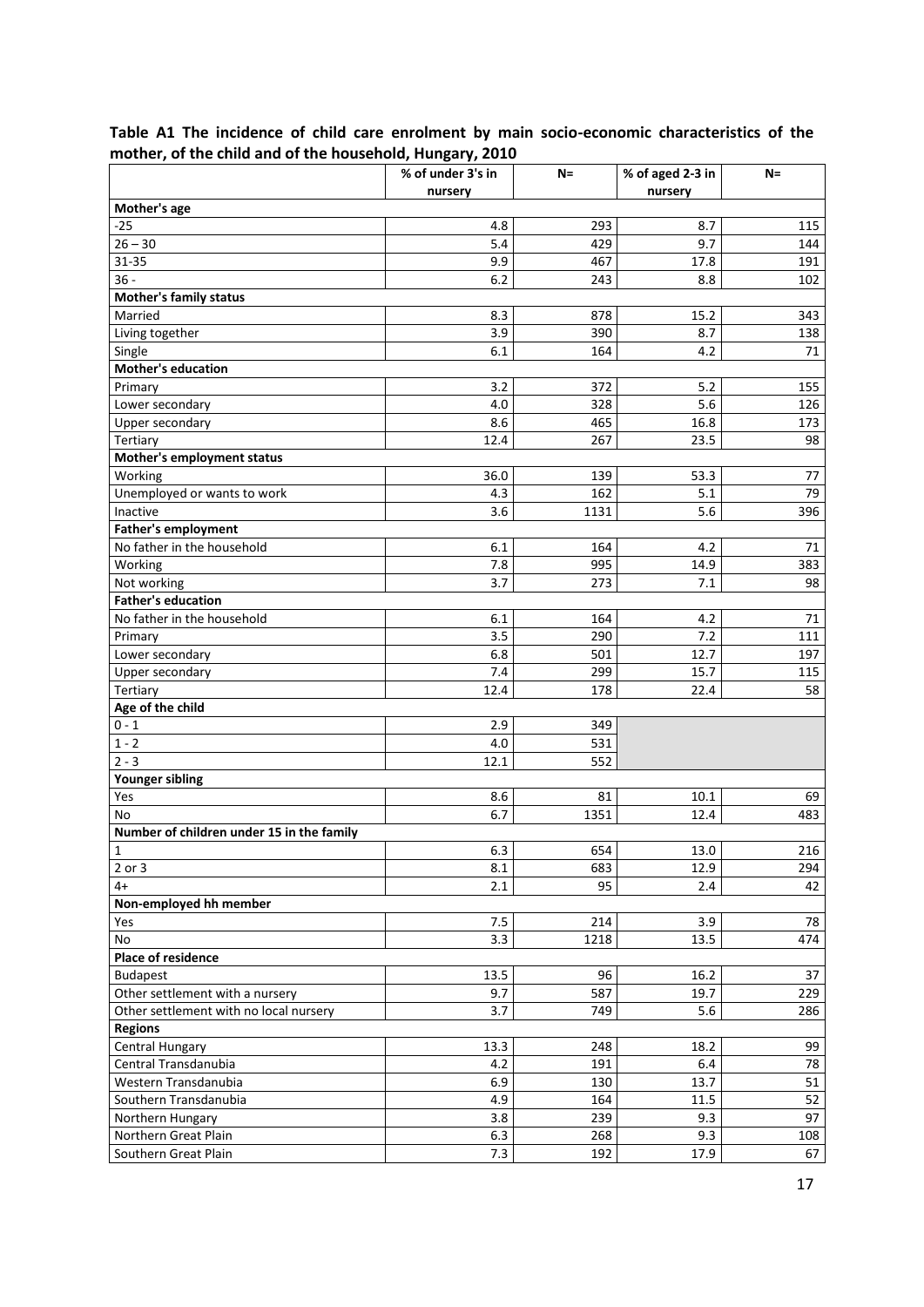|                                           | % of under 3's in | $N =$      | % of aged 2-3 in | $N=$       |  |  |
|-------------------------------------------|-------------------|------------|------------------|------------|--|--|
|                                           | nursery           |            | nursery          |            |  |  |
| Mother's age                              |                   |            |                  |            |  |  |
| $-25$                                     | 4.8               | 293        | 8.7              | 115        |  |  |
| $26 - 30$                                 | 5.4               | 429        | 9.7              | 144        |  |  |
| 31-35                                     | 9.9               | 467        | 17.8             | 191        |  |  |
| $36 -$                                    | 6.2               | 243        | 8.8              | 102        |  |  |
| <b>Mother's family status</b>             |                   |            |                  |            |  |  |
| Married                                   | 8.3               | 878        | 15.2             | 343        |  |  |
| Living together                           | 3.9               | 390        | 8.7              | 138        |  |  |
| Single                                    | 6.1               | 164        | 4.2              | 71         |  |  |
| <b>Mother's education</b>                 |                   |            |                  |            |  |  |
| Primary                                   | 3.2               | 372        | 5.2              | 155        |  |  |
| Lower secondary                           | 4.0               | 328        | 5.6              | 126        |  |  |
| Upper secondary                           | 8.6               | 465        | 16.8             | 173        |  |  |
| Tertiary                                  | 12.4              | 267        | 23.5             | 98         |  |  |
| Mother's employment status                |                   |            |                  |            |  |  |
| Working<br>Unemployed or wants to work    | 36.0<br>4.3       | 139<br>162 | 53.3             | 77<br>79   |  |  |
| Inactive                                  |                   |            | 5.1              |            |  |  |
| <b>Father's employment</b>                | 3.6               | 1131       | 5.6              | 396        |  |  |
| No father in the household                | 6.1               |            |                  |            |  |  |
| Working                                   |                   | 164<br>995 | 4.2              | 71         |  |  |
| Not working                               | 7.8<br>3.7        | 273        | 14.9<br>7.1      | 383<br>98  |  |  |
| <b>Father's education</b>                 |                   |            |                  |            |  |  |
|                                           | 6.1               |            | 4.2              |            |  |  |
| No father in the household                | 3.5               | 164<br>290 | 7.2              | 71         |  |  |
| Primary<br>Lower secondary                | 6.8               | 501        | 12.7             | 111<br>197 |  |  |
|                                           | 7.4               | 299        |                  |            |  |  |
| Upper secondary<br>Tertiary               | 12.4              | 178        | 15.7<br>22.4     | 115<br>58  |  |  |
| Age of the child                          |                   |            |                  |            |  |  |
| $0 - 1$                                   | 2.9               | 349        |                  |            |  |  |
| $1 - 2$                                   | 4.0               | 531        |                  |            |  |  |
| $2 - 3$                                   | 12.1              | 552        |                  |            |  |  |
| <b>Younger sibling</b>                    |                   |            |                  |            |  |  |
| Yes                                       | 8.6               | 81         | 10.1             | 69         |  |  |
| No                                        | 6.7               | 1351       | 12.4             | 483        |  |  |
| Number of children under 15 in the family |                   |            |                  |            |  |  |
| $\mathbf{1}$                              | 6.3               | 654        | 13.0             | 216        |  |  |
| $2$ or $3$                                | 8.1               | 683        | 12.9             | 294        |  |  |
| $4+$                                      | 2.1               | 95         | 2.4              | 42         |  |  |
| Non-employed hh member                    |                   |            |                  |            |  |  |
| Yes                                       | 7.5               | 214        | 3.9              | 78         |  |  |
| No                                        | 3.3               | 1218       | 13.5             | 474        |  |  |
| <b>Place of residence</b>                 |                   |            |                  |            |  |  |
| <b>Budapest</b>                           | 13.5              | 96         | 16.2             | 37         |  |  |
| Other settlement with a nursery           | 9.7               | 587        | 19.7             | 229        |  |  |
| Other settlement with no local nursery    | 3.7               | 749        | 5.6              | 286        |  |  |
| <b>Regions</b>                            |                   |            |                  |            |  |  |
| Central Hungary                           | 13.3              | 248        | 18.2             | 99         |  |  |
| Central Transdanubia                      | 4.2               | 191        | 6.4              | 78         |  |  |
| Western Transdanubia                      | 6.9               | 130        | 13.7             | 51         |  |  |
| Southern Transdanubia                     | 4.9               | 164        | 11.5             | 52         |  |  |
| Northern Hungary                          | 3.8               | 239        | 9.3              | 97         |  |  |
| Northern Great Plain                      | 6.3               | 268        | 9.3              | 108        |  |  |
| Southern Great Plain                      | 7.3               | 192        | 17.9             | 67         |  |  |

**Table A1 The incidence of child care enrolment by main socio-economic characteristics of the mother, of the child and of the household, Hungary, 2010**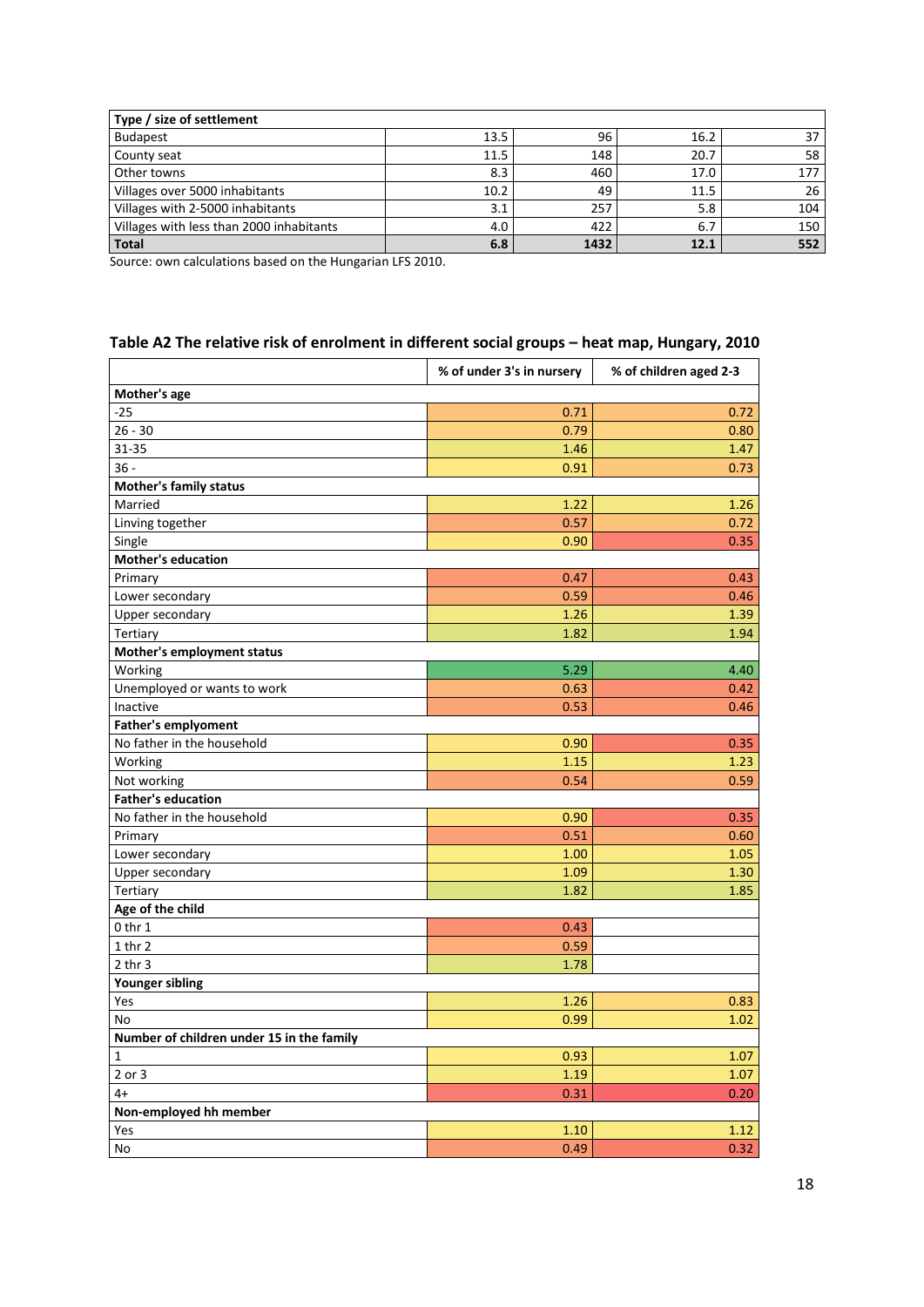| Type / size of settlement                |      |      |      |     |  |
|------------------------------------------|------|------|------|-----|--|
| <b>Budapest</b>                          | 13.5 | 96   | 16.2 | 37  |  |
| County seat                              | 11.5 | 148  | 20.7 | 58  |  |
| Other towns                              | 8.3  | 460  | 17.0 | 177 |  |
| Villages over 5000 inhabitants           | 10.2 | 49   | 11.5 | 26  |  |
| Villages with 2-5000 inhabitants         | 3.1  | 257  | 5.8  | 104 |  |
| Villages with less than 2000 inhabitants | 4.0  | 422  | 6.7  | 150 |  |
| <b>Total</b>                             | 6.8  | 1432 | 12.1 | 552 |  |

Source: own calculations based on the Hungarian LFS 2010.

# **Table A2 The relative risk of enrolment in different social groups – heat map, Hungary, 2010**

|                                           | % of under 3's in nursery | % of children aged 2-3 |
|-------------------------------------------|---------------------------|------------------------|
| Mother's age                              |                           |                        |
| $-25$                                     | 0.71                      | 0.72                   |
| $26 - 30$                                 | 0.79                      | 0.80                   |
| 31-35                                     | 1.46                      | 1.47                   |
| $36 -$                                    | 0.91                      | 0.73                   |
| <b>Mother's family status</b>             |                           |                        |
| Married                                   | 1.22                      | 1.26                   |
| Linving together                          | 0.57                      | 0.72                   |
| Single                                    | 0.90                      | 0.35                   |
| <b>Mother's education</b>                 |                           |                        |
| Primary                                   | 0.47                      | 0.43                   |
| Lower secondary                           | 0.59                      | 0.46                   |
| Upper secondary                           | 1.26                      | 1.39                   |
| Tertiary                                  | 1.82                      | 1.94                   |
| Mother's employment status                |                           |                        |
| Working                                   | 5.29                      | 4.40                   |
| Unemployed or wants to work               | 0.63                      | 0.42                   |
| Inactive                                  | 0.53                      | 0.46                   |
| <b>Father's emplyoment</b>                |                           |                        |
| No father in the household                | 0.90                      | 0.35                   |
| Working                                   | 1.15                      | 1.23                   |
| Not working                               | 0.54                      | 0.59                   |
| <b>Father's education</b>                 |                           |                        |
| No father in the household                | 0.90                      | 0.35                   |
| Primary                                   | 0.51                      | 0.60                   |
| Lower secondary                           | 1.00                      | 1.05                   |
| Upper secondary                           | 1.09                      | 1.30                   |
| Tertiary                                  | 1.82                      | 1.85                   |
| Age of the child                          |                           |                        |
| $0$ thr $1$                               | 0.43                      |                        |
| $1$ thr $2$                               | 0.59                      |                        |
| $2$ thr $3$                               | 1.78                      |                        |
| <b>Younger sibling</b>                    |                           |                        |
| Yes                                       | 1.26                      | 0.83                   |
| No                                        | 0.99                      | 1.02                   |
| Number of children under 15 in the family |                           |                        |
| $\mathbf 1$                               | 0.93                      | 1.07                   |
| 2 or 3                                    | 1.19                      | 1.07                   |
| 4+                                        | 0.31                      | 0.20                   |
| Non-employed hh member                    |                           |                        |
| Yes                                       | 1.10                      | 1.12                   |
| No                                        | 0.49                      | 0.32                   |